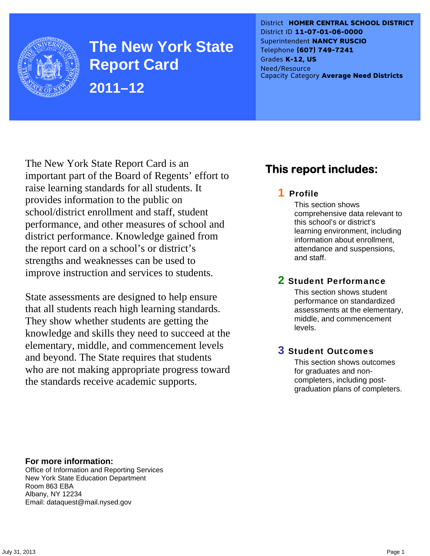

**The New York State Report Card 2011–12** 

District **HOMER CENTRAL SCHOOL DISTRICT** District ID **11-07-01-06-0000** Superintendent **NANCY RUSCIO** Telephone **(607) 749-7241** Grades **K-12, US** Need/Resource Capacity Category **Average Need Districts**

The New York State Report Card is an important part of the Board of Regents' effort to raise learning standards for all students. It provides information to the public on school/district enrollment and staff, student performance, and other measures of school and district performance. Knowledge gained from the report card on a school's or district's strengths and weaknesses can be used to improve instruction and services to students.

State assessments are designed to help ensure that all students reach high learning standards. They show whether students are getting the knowledge and skills they need to succeed at the elementary, middle, and commencement levels and beyond. The State requires that students who are not making appropriate progress toward the standards receive academic supports.

## **This report includes:**

### 1 Profile

This section shows comprehensive data relevant to this school's or district's learning environment, including information about enrollment, attendance and suspensions, and staff.

### 2 Student Performance

This section shows student performance on standardized assessments at the elementary, middle, and commencement levels.

### 3 Student Outcomes

This section shows outcomes for graduates and noncompleters, including postgraduation plans of completers.

**For more information:**  Office of Information and Reporting Services New York State Education Department Room 863 EBA Albany, NY 12234

Email: dataquest@mail.nysed.gov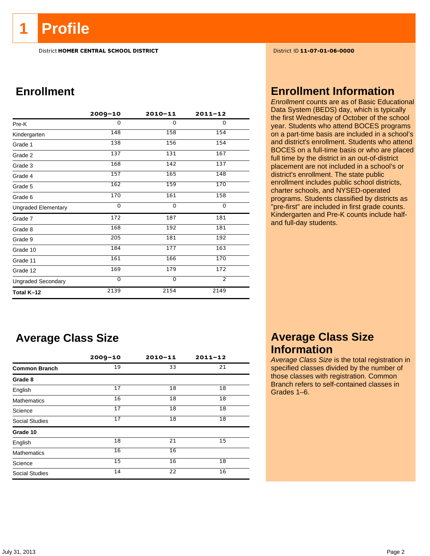**1 Profile** 

District **HOMER CENTRAL SCHOOL DISTRICT** District ID **11-07-01-06-0000**

## **Enrollment**

|                            | $2009 - 10$ | $2010 - 11$ | $2011 - 12$    |  |
|----------------------------|-------------|-------------|----------------|--|
| Pre-K                      | 0           | 0           | $\Omega$       |  |
| Kindergarten               | 148         | 158         | 154            |  |
| Grade 1                    | 138         | 156         | 154            |  |
| Grade 2                    | 137         | 131         | 167            |  |
| Grade 3                    | 168         | 142         | 137            |  |
| Grade 4                    | 157         | 165         | 148            |  |
| Grade 5                    | 162         | 159         | 170            |  |
| Grade 6                    | 170         | 161         | 158            |  |
| <b>Ungraded Elementary</b> | $\Omega$    | $\Omega$    | 0              |  |
| Grade 7                    | 172         | 187         | 181            |  |
| Grade 8                    | 168         | 192         | 181            |  |
| Grade 9                    | 205         | 181         | 192            |  |
| Grade 10                   | 184         | 177         | 163            |  |
| Grade 11                   | 161         | 166         | 170            |  |
| Grade 12                   | 169         | 179         | 172            |  |
| <b>Ungraded Secondary</b>  | $\mathbf 0$ | $\mathbf 0$ | $\overline{2}$ |  |
| Total K-12                 | 2139        | 2154        | 2149           |  |

## **Average Class Size**

|                       | $2009 - 10$ | $2010 - 11$ | $2011 - 12$ |
|-----------------------|-------------|-------------|-------------|
| <b>Common Branch</b>  | 19          | 33          | 21          |
| Grade 8               |             |             |             |
| English               | 17          | 18          | 18          |
| <b>Mathematics</b>    | 16          | 18          | 18          |
| Science               | 17          | 18          | 18          |
| <b>Social Studies</b> | 17          | 18          | 18          |
| Grade 10              |             |             |             |
| English               | 18          | 21          | 15          |
| <b>Mathematics</b>    | 16          | 16          |             |
| Science               | 15          | 16          | 18          |
| <b>Social Studies</b> | 14          | 22          | 16          |

## **Enrollment Information**

*Enrollment* counts are as of Basic Educational Data System (BEDS) day, which is typically the first Wednesday of October of the school year. Students who attend BOCES programs on a part-time basis are included in a school's and district's enrollment. Students who attend BOCES on a full-time basis or who are placed full time by the district in an out-of-district placement are not included in a school's or district's enrollment. The state public enrollment includes public school districts, charter schools, and NYSED-operated programs. Students classified by districts as "pre-first" are included in first grade counts. Kindergarten and Pre-K counts include halfand full-day students.

## **Average Class Size Information**

*Average Class Size* is the total registration in specified classes divided by the number of those classes with registration. Common Branch refers to self-contained classes in Grades 1–6.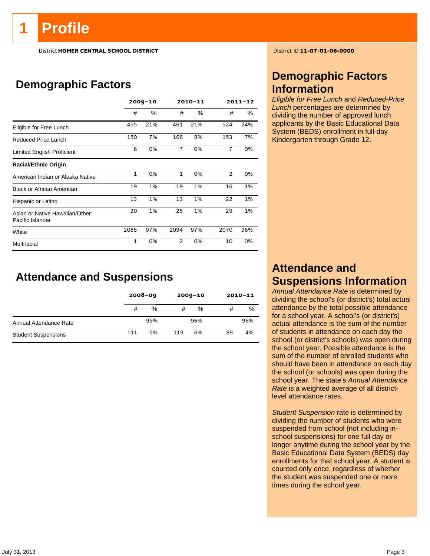# **Profile**

District **HOMER CENTRAL SCHOOL DISTRICT** District ID **11-07-01-06-0000**

## **Demographic Factors**

|                                                    | $2009 - 10$  |      |                | 2010-11 |                | $2011 - 12$ |
|----------------------------------------------------|--------------|------|----------------|---------|----------------|-------------|
|                                                    | #            | $\%$ | #              | %       | #              | $\%$        |
| Eligible for Free Lunch                            | 455          | 21%  | 461            | 21%     | 524            | 24%         |
| Reduced Price Lunch                                | 150          | 7%   | 166            | 8%      | 153            | 7%          |
| <b>Limited English Proficient</b>                  | 6            | 0%   | $\overline{7}$ | 0%      | $\overline{7}$ | 0%          |
| <b>Racial/Ethnic Origin</b>                        |              |      |                |         |                |             |
| American Indian or Alaska Native                   | $\mathbf{1}$ | 0%   | $\mathbf{1}$   | 0%      | 2              | 0%          |
| <b>Black or African American</b>                   | 19           | 1%   | 19             | 1%      | 16             | 1%          |
| Hispanic or Latino                                 | 13           | 1%   | 13             | 1%      | 22             | 1%          |
| Asian or Native Hawaiian/Other<br>Pacific Islander | 20           | 1%   | 25             | 1%      | 29             | 1%          |
| White                                              | 2085         | 97%  | 2094           | 97%     | 2070           | 96%         |
| Multiracial                                        | $\mathbf{1}$ | 0%   | $\overline{2}$ | 0%      | 10             | 0%          |

## **Attendance and Suspensions**

|                            |     | $2008 - 09$ |     | $2009 - 10$ | $2010 - 11$ |     |
|----------------------------|-----|-------------|-----|-------------|-------------|-----|
|                            | #   | %           | #   | %           | #           | %   |
| Annual Attendance Rate     |     | 95%         |     | 96%         |             | 96% |
| <b>Student Suspensions</b> | 111 | 5%          | 119 | 6%          | 89          | 4%  |

## **Demographic Factors Information**

*Eligible for Free Lunch* and *Reduced-Price Lunch* percentages are determined by dividing the number of approved lunch applicants by the Basic Educational Data System (BEDS) enrollment in full-day Kindergarten through Grade 12.

## **Attendance and Suspensions Information**

*Annual Attendance Rate* is determined by dividing the school's (or district's) total actual attendance by the total possible attendance for a school year. A school's (or district's) actual attendance is the sum of the number of students in attendance on each day the school (or district's schools) was open during the school year. Possible attendance is the sum of the number of enrolled students who should have been in attendance on each day the school (or schools) was open during the school year. The state's *Annual Attendance Rate* is a weighted average of all districtlevel attendance rates.

*Student Suspension* rate is determined by dividing the number of students who were suspended from school (not including inschool suspensions) for one full day or longer anytime during the school year by the Basic Educational Data System (BEDS) day enrollments for that school year. A student is counted only once, regardless of whether the student was suspended one or more times during the school year.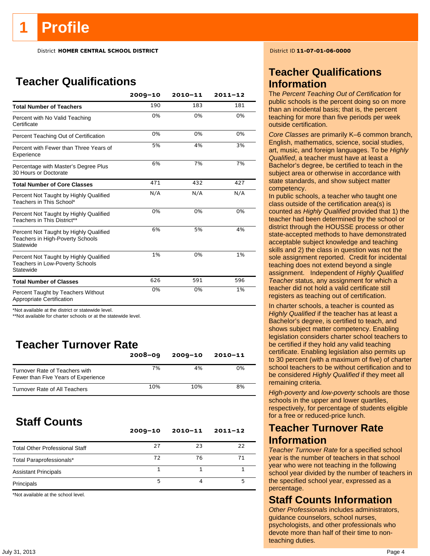District **HOMER CENTRAL SCHOOL DISTRICT** District ID **11-07-01-06-0000**

## **Teacher Qualifications**

|                                                                                               | $2009 - 10$ | $2010 - 11$ | $2011 - 12$ |
|-----------------------------------------------------------------------------------------------|-------------|-------------|-------------|
| <b>Total Number of Teachers</b>                                                               | 190         | 183         | 181         |
| Percent with No Valid Teaching<br>Certificate                                                 | 0%          | 0%          | 0%          |
| Percent Teaching Out of Certification                                                         | 0%          | 0%          | 0%          |
| Percent with Fewer than Three Years of<br>Experience                                          | 5%          | 4%          | 3%          |
| Percentage with Master's Degree Plus<br>30 Hours or Doctorate                                 | 6%          | 7%          | 7%          |
| <b>Total Number of Core Classes</b>                                                           | 471         | 432         | 427         |
| Percent Not Taught by Highly Qualified<br>Teachers in This School*                            | N/A         | N/A         | N/A         |
| Percent Not Taught by Highly Qualified<br>Teachers in This District**                         | 0%          | 0%          | 0%          |
| Percent Not Taught by Highly Qualified<br>Teachers in High-Poverty Schools<br>Statewide       | 6%          | 5%          | 4%          |
| Percent Not Taught by Highly Qualified<br><b>Teachers in Low-Poverty Schools</b><br>Statewide | 1%          | 0%          | 1%          |
| <b>Total Number of Classes</b>                                                                | 626         | 591         | 596         |
| Percent Taught by Teachers Without<br>Appropriate Certification                               | 0%          | 0%          | 1%          |

\*Not available at the district or statewide level.

\*\*Not available for charter schools or at the statewide level.

## **Teacher Turnover Rate**

|                                                                       | $2008 - 09$ | $2009 - 10$ | 2010-11 |
|-----------------------------------------------------------------------|-------------|-------------|---------|
| Turnover Rate of Teachers with<br>Fewer than Five Years of Experience | 7%          | 4%          | 0%      |
| Turnover Rate of All Teachers                                         | 10%         | 10%         | 8%      |

## **Staff Counts**

|                                       | $2009 - 10$ | $2010 - 11$ | $2011 - 12$ |
|---------------------------------------|-------------|-------------|-------------|
| <b>Total Other Professional Staff</b> | 27          | 23          | 22          |
| Total Paraprofessionals*              | 72          | 76          | 71          |
| <b>Assistant Principals</b>           |             |             |             |
| Principals                            |             |             |             |

\*Not available at the school level.

## **Teacher Qualifications Information**

The *Percent Teaching Out of Certification* for public schools is the percent doing so on more than an incidental basis; that is, the percent teaching for more than five periods per week outside certification.

*Core Classes* are primarily K–6 common branch, English, mathematics, science, social studies, art, music, and foreign languages. To be *Highly Qualified*, a teacher must have at least a Bachelor's degree, be certified to teach in the subject area or otherwise in accordance with state standards, and show subject matter competency.

In public schools, a teacher who taught one class outside of the certification area(s) is counted as *Highly Qualified* provided that 1) the teacher had been determined by the school or district through the HOUSSE process or other state-accepted methods to have demonstrated acceptable subject knowledge and teaching skills and 2) the class in question was not the sole assignment reported. Credit for incidental teaching does not extend beyond a single assignment. Independent of *Highly Qualified Teacher* status, any assignment for which a teacher did not hold a valid certificate still registers as teaching out of certification.

In charter schools, a teacher is counted as *Highly Qualified* if the teacher has at least a Bachelor's degree, is certified to teach, and shows subject matter competency. Enabling legislation considers charter school teachers to be certified if they hold any valid teaching certificate. Enabling legislation also permits up to 30 percent (with a maximum of five) of charter school teachers to be without certification and to be considered *Highly Qualified* if they meet all remaining criteria.

*High-poverty* and *low-poverty* schools are those schools in the upper and lower quartiles, respectively, for percentage of students eligible for a free or reduced-price lunch.

## **Teacher Turnover Rate Information**

*Teacher Turnover Rate* for a specified school year is the number of teachers in that school year who were not teaching in the following school year divided by the number of teachers in the specified school year, expressed as a percentage.

## **Staff Counts Information**

*Other Professionals* includes administrators, guidance counselors, school nurses, psychologists, and other professionals who devote more than half of their time to nonteaching duties.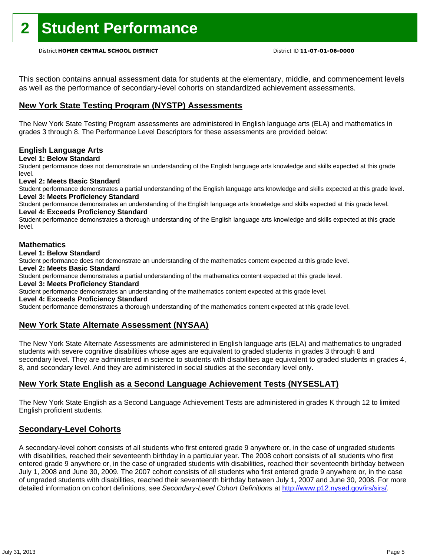This section contains annual assessment data for students at the elementary, middle, and commencement levels as well as the performance of secondary-level cohorts on standardized achievement assessments.

### **New York State Testing Program (NYSTP) Assessments**

The New York State Testing Program assessments are administered in English language arts (ELA) and mathematics in grades 3 through 8. The Performance Level Descriptors for these assessments are provided below:

### **English Language Arts**

**Level 1: Below Standard** 

Student performance does not demonstrate an understanding of the English language arts knowledge and skills expected at this grade level.

### **Level 2: Meets Basic Standard**

Student performance demonstrates a partial understanding of the English language arts knowledge and skills expected at this grade level. **Level 3: Meets Proficiency Standard** 

Student performance demonstrates an understanding of the English language arts knowledge and skills expected at this grade level. **Level 4: Exceeds Proficiency Standard** 

Student performance demonstrates a thorough understanding of the English language arts knowledge and skills expected at this grade level.

### **Mathematics**

**Level 1: Below Standard** 

Student performance does not demonstrate an understanding of the mathematics content expected at this grade level.

**Level 2: Meets Basic Standard** 

Student performance demonstrates a partial understanding of the mathematics content expected at this grade level.

### **Level 3: Meets Proficiency Standard**

Student performance demonstrates an understanding of the mathematics content expected at this grade level.

### **Level 4: Exceeds Proficiency Standard**

Student performance demonstrates a thorough understanding of the mathematics content expected at this grade level.

### **New York State Alternate Assessment (NYSAA)**

The New York State Alternate Assessments are administered in English language arts (ELA) and mathematics to ungraded students with severe cognitive disabilities whose ages are equivalent to graded students in grades 3 through 8 and secondary level. They are administered in science to students with disabilities age equivalent to graded students in grades 4, 8, and secondary level. And they are administered in social studies at the secondary level only.

### **New York State English as a Second Language Achievement Tests (NYSESLAT)**

The New York State English as a Second Language Achievement Tests are administered in grades K through 12 to limited English proficient students.

### **Secondary-Level Cohorts**

A secondary-level cohort consists of all students who first entered grade 9 anywhere or, in the case of ungraded students with disabilities, reached their seventeenth birthday in a particular year. The 2008 cohort consists of all students who first entered grade 9 anywhere or, in the case of ungraded students with disabilities, reached their seventeenth birthday between July 1, 2008 and June 30, 2009. The 2007 cohort consists of all students who first entered grade 9 anywhere or, in the case of ungraded students with disabilities, reached their seventeenth birthday between July 1, 2007 and June 30, 2008. For more detailed information on cohort definitions, see *Secondary-Level Cohort Definitions* at http://www.p12.nysed.gov/irs/sirs/.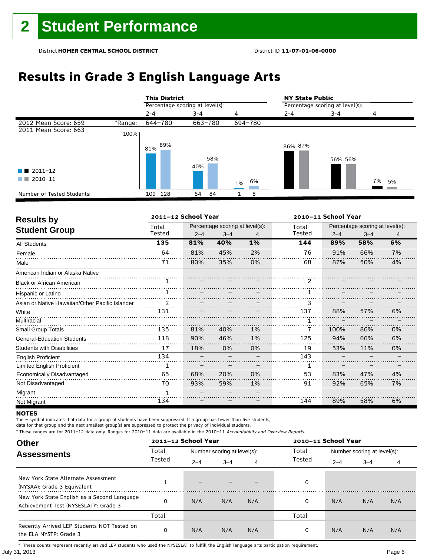# **Results in Grade 3 English Language Arts**

|                            |         | <b>This District</b> |                                 |          | <b>NY State Public</b> |                                 |          |  |
|----------------------------|---------|----------------------|---------------------------------|----------|------------------------|---------------------------------|----------|--|
|                            |         |                      | Percentage scoring at level(s): |          |                        | Percentage scoring at level(s): |          |  |
|                            |         | $2 - 4$              | $3 - 4$                         | 4        | $2 - 4$                | $3 - 4$                         | 4        |  |
| 2012 Mean Score: 659       | *Range: | 644-780              | 663-780                         | 694-780  |                        |                                 |          |  |
| 2011 Mean Score: 663       | 100%    |                      |                                 |          |                        |                                 |          |  |
|                            |         | 89%<br>81%           | 58%<br>40%                      |          | 86% 87%                | 56% 56%                         |          |  |
| $\blacksquare$ 2011-12     |         |                      |                                 |          |                        |                                 |          |  |
| 2010-11                    |         |                      |                                 | 6%<br>1% |                        |                                 | 7%<br>5% |  |
| Number of Tested Students: |         | 109 128              | 84<br>54                        | 8        |                        |                                 |          |  |

| <b>Results by</b>                               |               | 2011-12 School Year |                                 |    |               | 2010-11 School Year |                                 |    |  |  |
|-------------------------------------------------|---------------|---------------------|---------------------------------|----|---------------|---------------------|---------------------------------|----|--|--|
|                                                 | Total         |                     | Percentage scoring at level(s): |    | Total         |                     | Percentage scoring at level(s): |    |  |  |
| <b>Student Group</b>                            | Tested        | $2 - 4$             | $3 - 4$                         | 4  | Tested        | $2 - 4$             | $3 - 4$                         | 4  |  |  |
| <b>All Students</b>                             | 135           | 81%                 | 40%                             | 1% | 144           | 89%                 | 58%                             | 6% |  |  |
| Female                                          | 64            | 81%                 | 45%                             | 2% | 76            | 91%                 | 66%                             | 7% |  |  |
| Male                                            | 71            | 80%                 | 35%                             | 0% | 68            | 87%                 | 50%                             | 4% |  |  |
| American Indian or Alaska Native                |               |                     |                                 |    |               |                     |                                 |    |  |  |
| <b>Black or African American</b>                |               |                     |                                 |    | $\mathcal{P}$ |                     |                                 |    |  |  |
| Hispanic or Latino                              |               |                     |                                 |    |               |                     |                                 |    |  |  |
| Asian or Native Hawaiian/Other Pacific Islander | $\mathcal{P}$ |                     |                                 |    |               |                     |                                 |    |  |  |
| White                                           | 131           |                     |                                 |    | 137           | 88%                 | 57%                             | 6% |  |  |
| Multiracial                                     |               |                     |                                 |    |               |                     |                                 |    |  |  |
| <b>Small Group Totals</b>                       | 135           | 81%                 | 40%                             | 1% |               | 100%                | 86%                             | 0% |  |  |
| <b>General-Education Students</b>               | 118           | 90%                 | 46%                             | 1% | 125           | 94%                 | 66%                             | 6% |  |  |
| <b>Students with Disabilities</b>               | 17            | 18%                 | 0%                              | 0% | 19            | 53%                 | 11%                             | 0% |  |  |
| <b>English Proficient</b>                       | 134           |                     |                                 |    | 143           |                     |                                 |    |  |  |
| <b>Limited English Proficient</b>               |               |                     |                                 |    |               |                     |                                 |    |  |  |
| Economically Disadvantaged                      | 65            | 68%                 | 20%                             | 0% | 53            | 83%                 | 47%                             | 4% |  |  |
| Not Disadvantaged                               | 70            | 93%                 | 59%                             | 1% | 91            | 92%                 | 65%                             | 7% |  |  |
| Migrant                                         |               |                     |                                 |    |               |                     |                                 |    |  |  |
| Not Migrant                                     | 134           |                     |                                 |    | 144           | 89%                 | 58%                             | 6% |  |  |

### **NOTES**

The – symbol indicates that data for a group of students have been suppressed. If a group has fewer than five students,

data for that group and the next smallest group(s) are suppressed to protect the privacy of individual students.

\* These ranges are for 2011–12 data only. Ranges for 2010–11 data are available in the 2010–11 Accountability and Overview Reports.

| <b>Other</b>                                                                                      |        | 2011-12 School Year      |                             |     |        |         | 2010-11 School Year         |     |  |  |
|---------------------------------------------------------------------------------------------------|--------|--------------------------|-----------------------------|-----|--------|---------|-----------------------------|-----|--|--|
| <b>Assessments</b>                                                                                | Total  |                          | Number scoring at level(s): |     | Total  |         | Number scoring at level(s): |     |  |  |
|                                                                                                   | Tested | $2 - 4$                  | $3 - 4$                     | 4   | Tested | $2 - 4$ | $3 - 4$                     | 4   |  |  |
| New York State Alternate Assessment<br>(NYSAA): Grade 3 Equivalent                                |        | $\overline{\phantom{0}}$ |                             |     | 0      |         |                             |     |  |  |
| New York State English as a Second Language<br>Achievement Test (NYSESLAT) <sup>+</sup> : Grade 3 |        | N/A                      | N/A                         | N/A | 0      | N/A     | N/A                         | N/A |  |  |
|                                                                                                   | Total  |                          |                             |     | Total  |         |                             |     |  |  |
| Recently Arrived LEP Students NOT Tested on<br>the ELA NYSTP: Grade 3                             |        | N/A                      | N/A                         | N/A | 0      | N/A     | N/A                         | N/A |  |  |

July 31, 2013 Page 6 † These counts represent recently arrived LEP students who used the NYSESLAT to fulfill the English language arts participation requirement.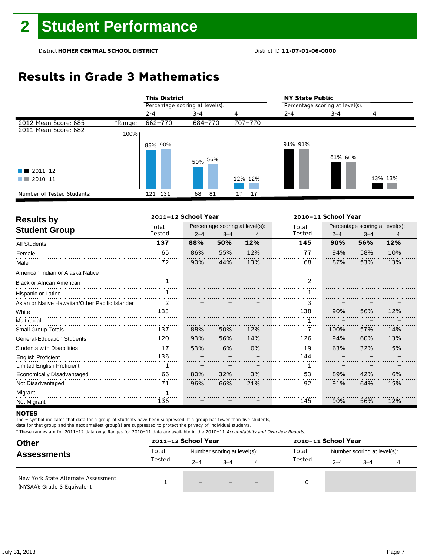## **Results in Grade 3 Mathematics**

|                            |         | <b>This District</b>            |          |          | <b>NY State Public</b>          |         |         |  |
|----------------------------|---------|---------------------------------|----------|----------|---------------------------------|---------|---------|--|
|                            |         | Percentage scoring at level(s): |          |          | Percentage scoring at level(s): |         |         |  |
|                            |         | $2 - 4$                         | $3 - 4$  | 4        | $2 - 4$                         | $3 - 4$ | 4       |  |
| 2012 Mean Score: 685       | *Range: | 662-770                         | 684-770  | 707-770  |                                 |         |         |  |
| 2011 Mean Score: 682       | 100%    |                                 |          |          |                                 |         |         |  |
|                            |         | 88% 90%                         | 50% 56%  |          | 91% 91%                         | 61% 60% |         |  |
| $\blacksquare$ 2011-12     |         |                                 |          |          |                                 |         |         |  |
| 2010-11                    |         |                                 |          | 12% 12%  |                                 |         | 13% 13% |  |
| Number of Tested Students: |         | 121 131                         | 81<br>68 | 17<br>17 |                                 |         |         |  |

| <b>Results by</b>                               |                | 2011-12 School Year |                                 |     |               | 2010-11 School Year             |         |     |  |  |  |  |
|-------------------------------------------------|----------------|---------------------|---------------------------------|-----|---------------|---------------------------------|---------|-----|--|--|--|--|
|                                                 | Total          |                     | Percentage scoring at level(s): |     |               | Percentage scoring at level(s): |         |     |  |  |  |  |
| <b>Student Group</b>                            | Tested         | $2 - 4$             | $3 - 4$                         | 4   | Tested        | $2 - 4$                         | $3 - 4$ | 4   |  |  |  |  |
| <b>All Students</b>                             | 137            | 88%                 | 50%                             | 12% | 145           | 90%                             | 56%     | 12% |  |  |  |  |
| Female                                          | 65             | 86%                 | 55%                             | 12% | 77            | 94%                             | 58%     | 10% |  |  |  |  |
| Male                                            | 72             | 90%                 | 44%                             | 13% | 68            | 87%                             | 53%     | 13% |  |  |  |  |
| American Indian or Alaska Native                |                |                     |                                 |     |               |                                 |         |     |  |  |  |  |
| <b>Black or African American</b>                |                |                     |                                 |     | $\mathcal{P}$ |                                 |         |     |  |  |  |  |
| Hispanic or Latino                              |                |                     |                                 |     |               |                                 |         |     |  |  |  |  |
| Asian or Native Hawaiian/Other Pacific Islander | $\overline{2}$ |                     |                                 |     | 3             |                                 |         |     |  |  |  |  |
| White                                           | 133            |                     |                                 |     | 138           | 90%                             | 56%     | 12% |  |  |  |  |
| Multiracial                                     |                |                     |                                 |     |               |                                 |         |     |  |  |  |  |
| <b>Small Group Totals</b>                       | 137            | 88%                 | 50%                             | 12% |               | 100%                            | 57%     | 14% |  |  |  |  |
| General-Education Students                      | 120            | 93%                 | 56%                             | 14% | 126           | 94%                             | 60%     | 13% |  |  |  |  |
| <b>Students with Disabilities</b>               | 17             | 53%                 | 6%                              | 0%  | 19            | 63%                             | 32%     | 5%  |  |  |  |  |
| <b>English Proficient</b>                       | 136            |                     |                                 |     | 144           |                                 |         |     |  |  |  |  |
| <b>Limited English Proficient</b>               | 1              |                     |                                 |     |               |                                 |         |     |  |  |  |  |
| Economically Disadvantaged                      | 66             | 80%                 | 32%                             | 3%  | 53            | 89%                             | 42%     | 6%  |  |  |  |  |
| Not Disadvantaged                               | 71             | 96%                 | 66%                             | 21% | 92            | 91%                             | 64%     | 15% |  |  |  |  |
| Migrant                                         |                |                     |                                 |     |               |                                 |         |     |  |  |  |  |
| Not Migrant                                     | 136            |                     |                                 |     | 145           | 90%                             | 56%     | 12% |  |  |  |  |

### **NOTES**

The – symbol indicates that data for a group of students have been suppressed. If a group has fewer than five students,

data for that group and the next smallest group(s) are suppressed to protect the privacy of individual students.

| <b>Other</b>                                                       | 2011-12 School Year |                             |         |     | 2010-11 School Year |                             |         |  |
|--------------------------------------------------------------------|---------------------|-----------------------------|---------|-----|---------------------|-----------------------------|---------|--|
| <b>Assessments</b>                                                 | Total<br>Tested     | Number scoring at level(s): |         |     | Total               | Number scoring at level(s): |         |  |
|                                                                    |                     | $2 - 4$                     | $3 - 4$ | 4   | Tested              | $2 - 4$                     | $3 - 4$ |  |
| New York State Alternate Assessment<br>(NYSAA): Grade 3 Equivalent |                     | $-$                         |         | $-$ | 0                   |                             |         |  |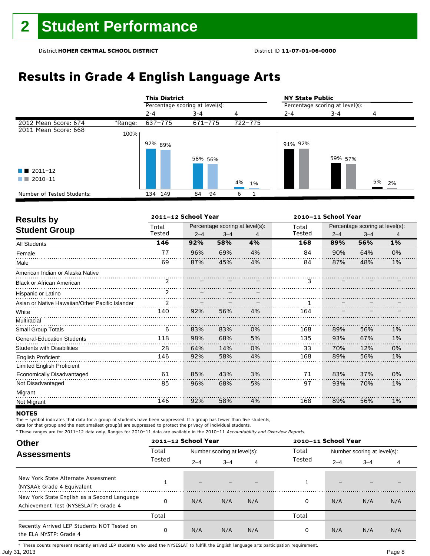# **Results in Grade 4 English Language Arts**

|                            |         | <b>This District</b>            |          |          | <b>NY State Public</b>          |         |       |
|----------------------------|---------|---------------------------------|----------|----------|---------------------------------|---------|-------|
|                            |         | Percentage scoring at level(s): |          |          | Percentage scoring at level(s): |         |       |
|                            |         | $2 - 4$                         | $3 - 4$  | 4        | $2 - 4$                         | $3 - 4$ |       |
| 2012 Mean Score: 674       | *Range: | 637-775                         | 671-775  | 722-775  |                                 |         |       |
| 2011 Mean Score: 668       | 100%    |                                 |          |          |                                 |         |       |
|                            |         | 92% 89%                         | 58% 56%  |          | 91% 92%                         | 59% 57% |       |
| $\blacksquare$ 2011-12     |         |                                 |          |          |                                 |         |       |
| 2010-11<br>a sa Tan        |         |                                 |          | 4%<br>1% |                                 |         | 5% 2% |
| Number of Tested Students: |         | 134 149                         | 94<br>84 | 6        |                                 |         |       |

| <b>Results by</b>                               |        | 2011-12 School Year |                                 |    | 2010-11 School Year |         |                                 |    |
|-------------------------------------------------|--------|---------------------|---------------------------------|----|---------------------|---------|---------------------------------|----|
| <b>Student Group</b>                            | Total  |                     | Percentage scoring at level(s): |    | Total               |         | Percentage scoring at level(s): |    |
|                                                 | Tested | $2 - 4$             | $3 - 4$                         | 4  | Tested              | $2 - 4$ | $3 - 4$                         | 4  |
| <b>All Students</b>                             | 146    | 92%                 | 58%                             | 4% | 168                 | 89%     | 56%                             | 1% |
| Female                                          | 77     | 96%                 | 69%                             | 4% | 84                  | 90%     | 64%                             | 0% |
| Male                                            | 69     | 87%                 | 45%                             | 4% | 84                  | 87%     | 48%                             | 1% |
| American Indian or Alaska Native                |        |                     |                                 |    |                     |         |                                 |    |
| <b>Black or African American</b>                | 2      |                     |                                 |    | 3                   |         |                                 |    |
| Hispanic or Latino                              | 2      |                     |                                 |    |                     |         |                                 |    |
| Asian or Native Hawaiian/Other Pacific Islander | 2      |                     |                                 |    |                     |         |                                 |    |
| White                                           | 140    | 92%                 | 56%                             | 4% | 164                 |         |                                 |    |
| Multiracial                                     |        |                     |                                 |    |                     |         |                                 |    |
| <b>Small Group Totals</b>                       | 6      | 83%                 | 83%                             | 0% | 168                 | 89%     | 56%                             | 1% |
| General-Education Students                      | 118    | 98%                 | 68%                             | 5% | 135                 | 93%     | 67%                             | 1% |
| <b>Students with Disabilities</b>               | 28     | 64%                 | 14%                             | 0% | 33                  | 70%     | 12%                             | 0% |
| <b>English Proficient</b>                       | 146    | 92%                 | 58%                             | 4% | 168                 | 89%     | 56%                             | 1% |
| Limited English Proficient                      |        |                     |                                 |    |                     |         |                                 |    |
| Economically Disadvantaged                      | 61     | 85%                 | 43%                             | 3% | 71                  | 83%     | 37%                             | 0% |
| Not Disadvantaged                               | 85     | 96%                 | 68%                             | 5% | 97                  | 93%     | 70%                             | 1% |
| Migrant                                         |        |                     |                                 |    |                     |         |                                 |    |
| Not Migrant                                     | 146    | 92%                 | 58%                             | 4% | 168                 | 89%     | 56%                             | 1% |

### **NOTES**

The – symbol indicates that data for a group of students have been suppressed. If a group has fewer than five students,

data for that group and the next smallest group(s) are suppressed to protect the privacy of individual students.

\* These ranges are for 2011–12 data only. Ranges for 2010–11 data are available in the 2010–11 Accountability and Overview Reports.

| <b>Other</b>                                                                                      |        | 2011-12 School Year |                             |     | 2010-11 School Year |         |                             |     |
|---------------------------------------------------------------------------------------------------|--------|---------------------|-----------------------------|-----|---------------------|---------|-----------------------------|-----|
| <b>Assessments</b>                                                                                | Total  |                     | Number scoring at level(s): |     | Total               |         | Number scoring at level(s): |     |
|                                                                                                   | Tested | $2 - 4$             | $3 - 4$                     | 4   | Tested              | $2 - 4$ | $3 - 4$                     | 4   |
| New York State Alternate Assessment<br>(NYSAA): Grade 4 Equivalent                                |        | -                   |                             |     |                     | -       |                             |     |
| New York State English as a Second Language<br>Achievement Test (NYSESLAT) <sup>+</sup> : Grade 4 |        | N/A                 | N/A                         | N/A | 0                   | N/A     | N/A                         | N/A |
|                                                                                                   | Total  |                     |                             |     | Total               |         |                             |     |
| Recently Arrived LEP Students NOT Tested on<br>the ELA NYSTP: Grade 4                             | 0      | N/A                 | N/A                         | N/A | 0                   | N/A     | N/A                         | N/A |

July 31, 2013 Page 8 † These counts represent recently arrived LEP students who used the NYSESLAT to fulfill the English language arts participation requirement.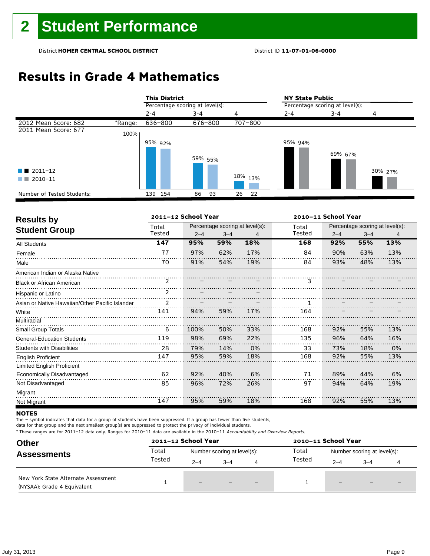## **Results in Grade 4 Mathematics**

|                            |         | <b>This District</b>            |          |                    | <b>NY State Public</b>          |         |         |
|----------------------------|---------|---------------------------------|----------|--------------------|---------------------------------|---------|---------|
|                            |         | Percentage scoring at level(s): |          |                    | Percentage scoring at level(s): |         |         |
|                            |         | $2 - 4$                         | $3 - 4$  | 4                  | $2 - 4$                         | $3 - 4$ | 4       |
| 2012 Mean Score: 682       | *Range: | 636-800                         | 676-800  | 707-800            |                                 |         |         |
| 2011 Mean Score: 677       | 100%    |                                 |          |                    |                                 |         |         |
|                            |         | 95% 92%                         | 59% 55%  |                    | 95% 94%                         | 69% 67% |         |
| $\blacksquare$ 2011-12     |         |                                 |          |                    |                                 |         | 30% 27% |
| 2010-11<br>a katika        |         |                                 |          | <sup>18%</sup> 13% |                                 |         |         |
| Number of Tested Students: |         | 139 154                         | 93<br>86 | 26<br>22           |                                 |         |         |

| <b>Results by</b>                               |                | 2011-12 School Year |         |                                 | 2010-11 School Year |         |                                 |     |  |
|-------------------------------------------------|----------------|---------------------|---------|---------------------------------|---------------------|---------|---------------------------------|-----|--|
|                                                 | Total          |                     |         | Percentage scoring at level(s): | Total               |         | Percentage scoring at level(s): |     |  |
| <b>Student Group</b>                            | Tested         | $2 - 4$             | $3 - 4$ | 4                               | Tested              | $2 - 4$ | $3 - 4$                         | 4   |  |
| <b>All Students</b>                             | 147            | 95%                 | 59%     | 18%                             | 168                 | 92%     | 55%                             | 13% |  |
| Female                                          | 77             | 97%                 | 62%     | 17%                             | 84                  | 90%     | 63%                             | 13% |  |
| Male                                            | 70             | 91%                 | 54%     | 19%                             | 84                  | 93%     | 48%                             | 13% |  |
| American Indian or Alaska Native                |                |                     |         |                                 |                     |         |                                 |     |  |
| <b>Black or African American</b>                | 2              |                     |         |                                 | 3                   |         |                                 |     |  |
| Hispanic or Latino                              | $\overline{2}$ |                     |         |                                 |                     |         |                                 |     |  |
| Asian or Native Hawaiian/Other Pacific Islander | 2              |                     |         |                                 |                     |         |                                 |     |  |
| White                                           | 141            | 94%                 | 59%     | 17%                             | 164                 |         |                                 |     |  |
| Multiracial                                     |                |                     |         |                                 |                     |         |                                 |     |  |
| <b>Small Group Totals</b>                       | 6              | 100%                | 50%     | 33%                             | 168                 | 92%     | 55%                             | 13% |  |
| <b>General-Education Students</b>               | 119            | 98%                 | 69%     | 22%                             | 135                 | 96%     | 64%                             | 16% |  |
| <b>Students with Disabilities</b>               | 28             | 79%                 | 14%     | 0%                              | 33                  | 73%     | 18%                             | 0%  |  |
| <b>English Proficient</b>                       | 147            | 95%                 | 59%     | 18%                             | 168                 | 92%     | 55%                             | 13% |  |
| Limited English Proficient                      |                |                     |         |                                 |                     |         |                                 |     |  |
| Economically Disadvantaged                      | 62             | 92%                 | 40%     | 6%                              | 71                  | 89%     | 44%                             | 6%  |  |
| Not Disadvantaged                               | 85             | 96%                 | 72%     | 26%                             | 97                  | 94%     | 64%                             | 19% |  |
| Migrant                                         |                |                     |         |                                 |                     |         |                                 |     |  |
| Not Migrant                                     | 147            | 95%                 | 59%     | 18%                             | 168                 | 92%     | 55%                             | 13% |  |

### **NOTES**

The – symbol indicates that data for a group of students have been suppressed. If a group has fewer than five students,

data for that group and the next smallest group(s) are suppressed to protect the privacy of individual students.

| <b>Other</b>                                                       |        | 2011-12 School Year         |         |                          | 2010-11 School Year |                             |                          |                          |
|--------------------------------------------------------------------|--------|-----------------------------|---------|--------------------------|---------------------|-----------------------------|--------------------------|--------------------------|
| <b>Assessments</b>                                                 | Total  | Number scoring at level(s): |         |                          | Total               | Number scoring at level(s): |                          |                          |
|                                                                    | Tested | $2 - 4$                     | $3 - 4$ | 4                        | Tested              | $2 - 4$                     | $3 - 4$                  |                          |
| New York State Alternate Assessment<br>(NYSAA): Grade 4 Equivalent |        | $-$                         |         | $\overline{\phantom{0}}$ |                     | $-$                         | $\overline{\phantom{0}}$ | $\overline{\phantom{0}}$ |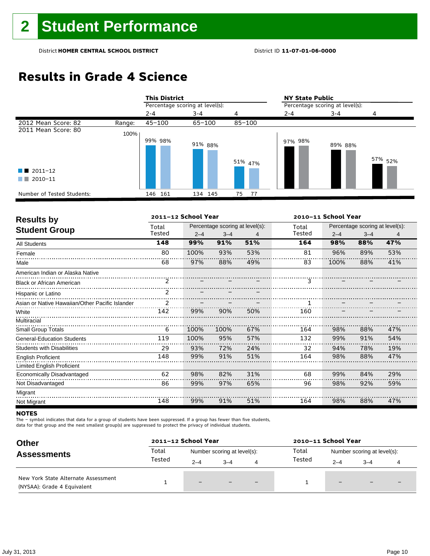## **Results in Grade 4 Science**

|                            |        | <b>This District</b>            |            |            | <b>NY State Public</b>          |         |                    |  |
|----------------------------|--------|---------------------------------|------------|------------|---------------------------------|---------|--------------------|--|
|                            |        | Percentage scoring at level(s): |            |            | Percentage scoring at level(s): |         |                    |  |
|                            |        | $2 - 4$                         | $3 - 4$    | 4          | $2 - 4$                         | $3 - 4$ |                    |  |
| 2012 Mean Score: 82        | Range: | $45 - 100$                      | $65 - 100$ | $85 - 100$ |                                 |         |                    |  |
| 2011 Mean Score: 80        | 100%   | 99% 98%                         | 91% 88%    |            | 97% 98%                         | 89% 88% |                    |  |
|                            |        |                                 |            | 51% 47%    |                                 |         | 57% <sub>52%</sub> |  |
| $\blacksquare$ 2011-12     |        |                                 |            |            |                                 |         |                    |  |
| 2010-11<br>a sa tsa        |        |                                 |            |            |                                 |         |                    |  |
| Number of Tested Students: |        | 146 161                         | 134 145    | 75 77      |                                 |         |                    |  |

| <b>Results by</b>                               |        | 2011-12 School Year |                                 |     | 2010-11 School Year |         |                                 |     |
|-------------------------------------------------|--------|---------------------|---------------------------------|-----|---------------------|---------|---------------------------------|-----|
| <b>Student Group</b>                            | Total  |                     | Percentage scoring at level(s): |     | Total               |         | Percentage scoring at level(s): |     |
|                                                 | Tested | $2 - 4$             | $3 - 4$                         | 4   | Tested              | $2 - 4$ | $3 - 4$                         | 4   |
| <b>All Students</b>                             | 148    | 99%                 | 91%                             | 51% | 164                 | 98%     | 88%                             | 47% |
| Female                                          | 80     | 100%                | 93%                             | 53% | 81                  | 96%     | 89%                             | 53% |
| Male                                            | 68     | 97%                 | 88%                             | 49% | 83                  | 100%    | 88%                             | 41% |
| American Indian or Alaska Native                |        |                     |                                 |     |                     |         |                                 |     |
| <b>Black or African American</b>                | 2      |                     |                                 |     | 3                   |         |                                 |     |
| Hispanic or Latino                              | 2      |                     |                                 |     |                     |         |                                 |     |
| Asian or Native Hawaiian/Other Pacific Islander |        |                     |                                 |     |                     |         |                                 |     |
| White                                           | 142    | 99%                 | 90%                             | 50% | 160                 |         |                                 |     |
| Multiracial                                     |        |                     |                                 |     |                     |         |                                 |     |
| Small Group Totals                              | 6      | 100%                | 100%                            | 67% | 164                 | 98%     | 88%                             | 47% |
| <b>General-Education Students</b>               | 119    | 100%                | 95%                             | 57% | 132                 | 99%     | 91%                             | 54% |
| <b>Students with Disabilities</b>               | 29     | 93%                 | 72%                             | 24% | 32                  | 94%     | 78%                             | 19% |
| <b>English Proficient</b>                       | 148    | 99%                 | 91%                             | 51% | 164                 | 98%     | 88%                             | 47% |
| <b>Limited English Proficient</b>               |        |                     |                                 |     |                     |         |                                 |     |
| Economically Disadvantaged                      | 62     | 98%                 | 82%                             | 31% | 68                  | 99%     | 84%                             | 29% |
| Not Disadvantaged                               | 86     | 99%                 | 97%                             | 65% | 96                  | 98%     | 92%                             | 59% |
| Migrant                                         |        |                     |                                 |     |                     |         |                                 |     |
| Not Migrant                                     | 148    | 99%                 | 91%                             | 51% | 164                 | 98%     | 88%                             | 47% |

### **NOTES**

The – symbol indicates that data for a group of students have been suppressed. If a group has fewer than five students,

data for that group and the next smallest group(s) are suppressed to protect the privacy of individual students.

| <b>Other</b><br><b>Assessments</b>                                 |        | 2011-12 School Year         |         |                          | 2010-11 School Year |                             |                          |  |
|--------------------------------------------------------------------|--------|-----------------------------|---------|--------------------------|---------------------|-----------------------------|--------------------------|--|
|                                                                    | Total  | Number scoring at level(s): |         |                          | Total               | Number scoring at level(s): |                          |  |
|                                                                    | Tested | $2 - 4$                     | $3 - 4$ | 4                        | Tested              | $2 - 4$                     | $3 - 4$                  |  |
| New York State Alternate Assessment<br>(NYSAA): Grade 4 Equivalent |        | -                           |         | $\overline{\phantom{0}}$ |                     | $\qquad \qquad -$           | $\overline{\phantom{0}}$ |  |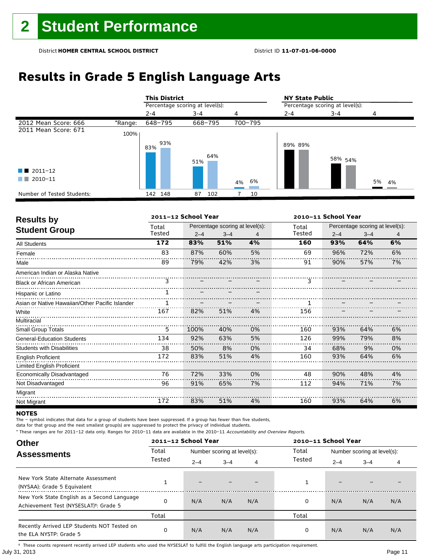# **Results in Grade 5 English Language Arts**

|                            |         | <b>This District</b>            |            |         | <b>NY State Public</b>          |                    |       |  |
|----------------------------|---------|---------------------------------|------------|---------|---------------------------------|--------------------|-------|--|
|                            |         | Percentage scoring at level(s): |            |         | Percentage scoring at level(s): |                    |       |  |
|                            |         | $2 - 4$                         | $3 - 4$    | 4       | $2 - 4$                         | $3 - 4$            | 4     |  |
| 2012 Mean Score: 666       | *Range: | 648-795                         | 668-795    | 700-795 |                                 |                    |       |  |
| 2011 Mean Score: 671       | 100%    |                                 |            |         |                                 |                    |       |  |
|                            |         | 93%<br>83%                      | 64%<br>51% |         | 89% 89%                         | 58% <sub>54%</sub> |       |  |
| $\blacksquare$ 2011-12     |         |                                 |            |         |                                 |                    |       |  |
| 2010-11<br>a katika        |         |                                 |            | 4% 6%   |                                 |                    | 5% 4% |  |
| Number of Tested Students: |         | 142 148                         | 102<br>87  | 10      |                                 |                    |       |  |

| <b>Results by</b>                               |        | 2011-12 School Year |                                 |    | 2010-11 School Year |         |                                 |    |
|-------------------------------------------------|--------|---------------------|---------------------------------|----|---------------------|---------|---------------------------------|----|
|                                                 | Total  |                     | Percentage scoring at level(s): |    | Total               |         | Percentage scoring at level(s): |    |
| <b>Student Group</b>                            | Tested | $2 - 4$             | $3 - 4$                         | 4  | Tested              | $2 - 4$ | $3 - 4$                         | 4  |
| All Students                                    | 172    | 83%                 | 51%                             | 4% | 160                 | 93%     | 64%                             | 6% |
| Female                                          | 83     | 87%                 | 60%                             | 5% | 69                  | 96%     | 72%                             | 6% |
| Male                                            | 89     | 79%                 | 42%                             | 3% | 91                  | 90%     | 57%                             | 7% |
| American Indian or Alaska Native                |        |                     |                                 |    |                     |         |                                 |    |
| <b>Black or African American</b>                | 3      |                     |                                 |    | 3                   |         |                                 |    |
| Hispanic or Latino                              |        |                     |                                 |    |                     |         |                                 |    |
| Asian or Native Hawaiian/Other Pacific Islander |        |                     |                                 |    |                     |         |                                 |    |
| White                                           | 167    | 82%                 | 51%                             | 4% | 156                 |         |                                 |    |
| Multiracial                                     |        |                     |                                 |    |                     |         |                                 |    |
| <b>Small Group Totals</b>                       | 5      | 100%                | 40%                             | 0% | 160                 | 93%     | 64%                             | 6% |
| <b>General-Education Students</b>               | 134    | 92%                 | 63%                             | 5% | 126                 | 99%     | 79%                             | 8% |
| <b>Students with Disabilities</b>               | 38     | 50%                 | 8%                              | 0% | 34                  | 68%     | 9%                              | 0% |
| <b>English Proficient</b>                       | 172    | 83%                 | 51%                             | 4% | 160                 | 93%     | 64%                             | 6% |
| <b>Limited English Proficient</b>               |        |                     |                                 |    |                     |         |                                 |    |
| Economically Disadvantaged                      | 76     | 72%                 | 33%                             | 0% | 48                  | 90%     | 48%                             | 4% |
| Not Disadvantaged                               | 96     | 91%                 | 65%                             | 7% | 112                 | 94%     | 71%                             | 7% |
| Migrant                                         |        |                     |                                 |    |                     |         |                                 |    |
| Not Migrant                                     | 172    | 83%                 | 51%                             | 4% | 160                 | 93%     | 64%                             | 6% |

### **NOTES**

The – symbol indicates that data for a group of students have been suppressed. If a group has fewer than five students,

data for that group and the next smallest group(s) are suppressed to protect the privacy of individual students.

\* These ranges are for 2011–12 data only. Ranges for 2010–11 data are available in the 2010–11 Accountability and Overview Reports.

| <b>Other</b>                                                                                      |        | 2011-12 School Year<br>2010-11 School Year |                             |     |        |                             |         |     |
|---------------------------------------------------------------------------------------------------|--------|--------------------------------------------|-----------------------------|-----|--------|-----------------------------|---------|-----|
| <b>Assessments</b>                                                                                | Total  |                                            | Number scoring at level(s): |     | Total  | Number scoring at level(s): |         |     |
|                                                                                                   | Tested | $2 - 4$                                    | $3 - 4$                     | 4   | Tested | $2 - 4$                     | $3 - 4$ | 4   |
| New York State Alternate Assessment<br>(NYSAA): Grade 5 Equivalent                                |        |                                            |                             |     |        | $\overline{\phantom{0}}$    |         |     |
| New York State English as a Second Language<br>Achievement Test (NYSESLAT) <sup>+</sup> : Grade 5 | O      | N/A                                        | N/A                         | N/A | 0      | N/A                         | N/A     | N/A |
|                                                                                                   | Total  |                                            |                             |     | Total  |                             |         |     |
| Recently Arrived LEP Students NOT Tested on<br>the ELA NYSTP: Grade 5                             | 0      | N/A                                        | N/A                         | N/A | 0      | N/A                         | N/A     | N/A |

July 31, 2013 Page 11 † These counts represent recently arrived LEP students who used the NYSESLAT to fulfill the English language arts participation requirement.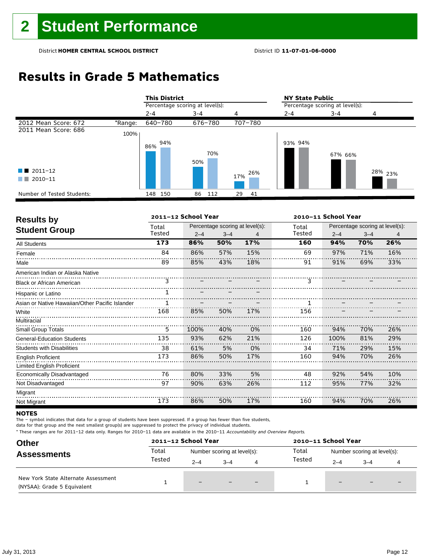## **Results in Grade 5 Mathematics**

|                            |         | <b>This District</b>            |            |          | <b>NY State Public</b>          |         |                    |  |
|----------------------------|---------|---------------------------------|------------|----------|---------------------------------|---------|--------------------|--|
|                            |         | Percentage scoring at level(s): |            |          | Percentage scoring at level(s): |         |                    |  |
|                            |         | $2 - 4$                         | $3 - 4$    | 4        | $2 - 4$                         | $3 - 4$ | 4                  |  |
| 2012 Mean Score: 672       | *Range: | 640-780                         | 676-780    | 707-780  |                                 |         |                    |  |
| 2011 Mean Score: 686       | 100%    |                                 |            |          |                                 |         |                    |  |
|                            |         | 94%<br>86%                      | 70%<br>50% |          | 93% 94%                         | 67% 66% |                    |  |
| $\blacksquare$ 2011-12     |         |                                 |            | 26%      |                                 |         | <sup>28%</sup> 23% |  |
| 2010-11<br>a sa T          |         |                                 |            | 17%      |                                 |         |                    |  |
| Number of Tested Students: |         | 148<br>150                      | 86<br>112  | 29<br>41 |                                 |         |                    |  |

| <b>Results by</b>                               |        | 2011-12 School Year |         |                                 | 2010-11 School Year |         |                                 |     |  |
|-------------------------------------------------|--------|---------------------|---------|---------------------------------|---------------------|---------|---------------------------------|-----|--|
|                                                 | Total  |                     |         | Percentage scoring at level(s): | Total               |         | Percentage scoring at level(s): |     |  |
| <b>Student Group</b>                            | Tested | $2 - 4$             | $3 - 4$ | 4                               | Tested              | $2 - 4$ | $3 - 4$                         | 4   |  |
| <b>All Students</b>                             | 173    | 86%                 | 50%     | 17%                             | 160                 | 94%     | 70%                             | 26% |  |
| Female                                          | 84     | 86%                 | 57%     | 15%                             | 69                  | 97%     | 71%                             | 16% |  |
| Male                                            | 89     | 85%                 | 43%     | 18%                             | 91                  | 91%     | 69%                             | 33% |  |
| American Indian or Alaska Native                |        |                     |         |                                 |                     |         |                                 |     |  |
| <b>Black or African American</b>                | 3      |                     |         |                                 | 3                   |         |                                 |     |  |
| Hispanic or Latino                              |        |                     |         |                                 |                     |         |                                 |     |  |
| Asian or Native Hawaiian/Other Pacific Islander |        |                     |         |                                 |                     |         |                                 |     |  |
| White                                           | 168    | 85%                 | 50%     | 17%                             | 156                 |         |                                 |     |  |
| Multiracial                                     |        |                     |         |                                 |                     |         |                                 |     |  |
| <b>Small Group Totals</b>                       | 5      | 100%                | 40%     | 0%                              | 160                 | 94%     | 70%                             | 26% |  |
| <b>General-Education Students</b>               | 135    | 93%                 | 62%     | 21%                             | 126                 | 100%    | 81%                             | 29% |  |
| <b>Students with Disabilities</b>               | 38     | 61%                 | 5%      | 0%                              | 34                  | 71%     | 29%                             | 15% |  |
| <b>English Proficient</b>                       | 173    | 86%                 | 50%     | 17%                             | 160                 | 94%     | 70%                             | 26% |  |
| <b>Limited English Proficient</b>               |        |                     |         |                                 |                     |         |                                 |     |  |
| Economically Disadvantaged                      | 76     | 80%                 | 33%     | 5%                              | 48                  | 92%     | 54%                             | 10% |  |
| Not Disadvantaged                               | 97     | 90%                 | 63%     | 26%                             | 112                 | 95%     | 77%                             | 32% |  |
| Migrant                                         |        |                     |         |                                 |                     |         |                                 |     |  |
| Not Migrant                                     | 173    | 86%                 | 50%     | 17%                             | 160                 | 94%     | 70%                             | 26% |  |

### **NOTES**

The – symbol indicates that data for a group of students have been suppressed. If a group has fewer than five students,

data for that group and the next smallest group(s) are suppressed to protect the privacy of individual students.

| <b>Other</b><br><b>Assessments</b>                                 |        | 2011-12 School Year<br>2010-11 School Year |         |     |                                      |                          |                          |  |
|--------------------------------------------------------------------|--------|--------------------------------------------|---------|-----|--------------------------------------|--------------------------|--------------------------|--|
|                                                                    | Total  | Number scoring at level(s):                |         |     | Total<br>Number scoring at level(s): |                          |                          |  |
|                                                                    | Tested | $2 - 4$                                    | $3 - 4$ | 4   | Tested                               | $2 - 4$                  | $3 - 4$                  |  |
| New York State Alternate Assessment<br>(NYSAA): Grade 5 Equivalent |        | $-$                                        |         | $-$ |                                      | $\overline{\phantom{m}}$ | $\overline{\phantom{0}}$ |  |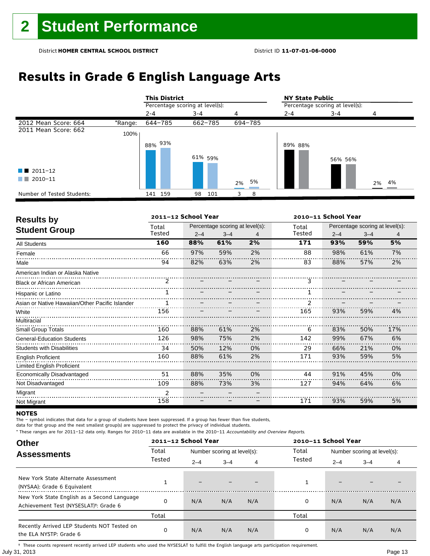# **Results in Grade 6 English Language Arts**

|                            |         | <b>This District</b>            |           |          | <b>NY State Public</b>          |         |          |  |
|----------------------------|---------|---------------------------------|-----------|----------|---------------------------------|---------|----------|--|
|                            |         | Percentage scoring at level(s): |           |          | Percentage scoring at level(s): |         |          |  |
|                            |         | $2 - 4$                         | $3 - 4$   | 4        | $2 - 4$                         | 3-4     | 4        |  |
| 2012 Mean Score: 664       | *Range: | 644-785                         | 662-785   | 694-785  |                                 |         |          |  |
| 2011 Mean Score: 662       | 100%    |                                 |           |          |                                 |         |          |  |
|                            |         | 88% 93%                         | 61% 59%   |          | 89% 88%                         | 56% 56% |          |  |
| $\blacksquare$ 2011-12     |         |                                 |           |          |                                 |         |          |  |
| 2010-11                    |         |                                 |           | 5%<br>2% |                                 |         | 4%<br>2% |  |
| Number of Tested Students: |         | 141 159                         | 98<br>101 | 8<br>3   |                                 |         |          |  |

| <b>Results by</b>                               | 2011-12 School Year<br>2010-11 School Year |         |                                 |    |        |         |                                 |     |  |
|-------------------------------------------------|--------------------------------------------|---------|---------------------------------|----|--------|---------|---------------------------------|-----|--|
| <b>Student Group</b>                            | Total                                      |         | Percentage scoring at level(s): |    | Total  |         | Percentage scoring at level(s): |     |  |
|                                                 | Tested                                     | $2 - 4$ | $3 - 4$                         | 4  | Tested | $2 - 4$ | $3 - 4$                         | 4   |  |
| <b>All Students</b>                             | 160                                        | 88%     | 61%                             | 2% | 171    | 93%     | 59%                             | 5%  |  |
| Female                                          | 66                                         | 97%     | 59%                             | 2% | 88     | 98%     | 61%                             | 7%  |  |
| Male                                            | 94                                         | 82%     | 63%                             | 2% | 83     | 88%     | 57%                             | 2%  |  |
| American Indian or Alaska Native                |                                            |         |                                 |    |        |         |                                 |     |  |
| <b>Black or African American</b>                | 2                                          |         |                                 |    | 3      |         |                                 |     |  |
| Hispanic or Latino                              |                                            |         |                                 |    |        |         |                                 |     |  |
| Asian or Native Hawaiian/Other Pacific Islander |                                            |         |                                 |    |        |         |                                 |     |  |
| White                                           | 156                                        |         |                                 |    | 165    | 93%     | 59%                             | 4%  |  |
| Multiracial                                     |                                            |         |                                 |    |        |         |                                 |     |  |
| <b>Small Group Totals</b>                       | 160                                        | 88%     | 61%                             | 2% | 6      | 83%     | 50%                             | 17% |  |
| <b>General-Education Students</b>               | 126                                        | 98%     | 75%                             | 2% | 142    | 99%     | 67%                             | 6%  |  |
| <b>Students with Disabilities</b>               | 34                                         | 50%     | 12%                             | 0% | 29     | 66%     | 21%                             | 0%  |  |
| <b>English Proficient</b>                       | 160                                        | 88%     | 61%                             | 2% | 171    | 93%     | 59%                             | 5%  |  |
| <b>Limited English Proficient</b>               |                                            |         |                                 |    |        |         |                                 |     |  |
| Economically Disadvantaged                      | 51                                         | 88%     | 35%                             | 0% | 44     | 91%     | 45%                             | 0%  |  |
| Not Disadvantaged                               | 109                                        | 88%     | 73%                             | 3% | 127    | 94%     | 64%                             | 6%  |  |
| Migrant                                         | $\overline{2}$                             |         |                                 |    |        |         |                                 |     |  |
| Not Migrant                                     | 158                                        |         |                                 |    | 171    | 93%     | 59%                             | 5%  |  |

### **NOTES**

The – symbol indicates that data for a group of students have been suppressed. If a group has fewer than five students,

data for that group and the next smallest group(s) are suppressed to protect the privacy of individual students.

\* These ranges are for 2011–12 data only. Ranges for 2010–11 data are available in the 2010–11 Accountability and Overview Reports.

| <b>Other</b>                                                                                      |        | 2011-12 School Year<br>2010-11 School Year |                             |     |        |                             |         |     |
|---------------------------------------------------------------------------------------------------|--------|--------------------------------------------|-----------------------------|-----|--------|-----------------------------|---------|-----|
| <b>Assessments</b>                                                                                | Total  |                                            | Number scoring at level(s): |     |        | Number scoring at level(s): |         |     |
|                                                                                                   | Tested | $2 - 4$                                    | $3 - 4$                     | 4   | Tested | $2 - 4$                     | $3 - 4$ | 4   |
| New York State Alternate Assessment<br>(NYSAA): Grade 6 Equivalent                                |        | -                                          |                             |     |        | -                           |         |     |
| New York State English as a Second Language<br>Achievement Test (NYSESLAT) <sup>†</sup> : Grade 6 |        | N/A                                        | N/A                         | N/A | 0      | N/A                         | N/A     | N/A |
|                                                                                                   | Total  |                                            |                             |     | Total  |                             |         |     |
| Recently Arrived LEP Students NOT Tested on<br>the ELA NYSTP: Grade 6                             | 0      | N/A                                        | N/A                         | N/A | 0      | N/A                         | N/A     | N/A |

July 31, 2013 Page 13 † These counts represent recently arrived LEP students who used the NYSESLAT to fulfill the English language arts participation requirement.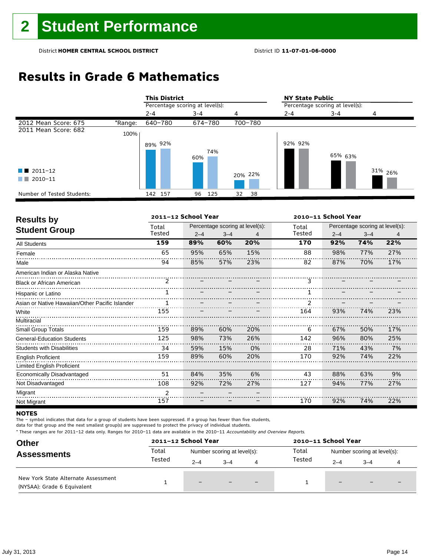## **Results in Grade 6 Mathematics**

|                            |         | <b>This District</b>            |            |          | <b>NY State Public</b>          |         |                    |  |
|----------------------------|---------|---------------------------------|------------|----------|---------------------------------|---------|--------------------|--|
|                            |         | Percentage scoring at level(s): |            |          | Percentage scoring at level(s): |         |                    |  |
|                            |         | $2 - 4$                         | $3 - 4$    | 4        | $2 - 4$                         | $3 - 4$ | 4                  |  |
| 2012 Mean Score: 675       | *Range: | 640-780                         | 674-780    | 700-780  |                                 |         |                    |  |
| 2011 Mean Score: 682       | 100%    |                                 |            |          |                                 |         |                    |  |
|                            |         | 89% 92%                         |            |          | 92% 92%                         |         |                    |  |
|                            |         |                                 | 74%<br>60% |          |                                 | 65% 63% |                    |  |
| $\blacksquare$ 2011-12     |         |                                 |            | 20% 22%  |                                 |         | 31% <sub>26%</sub> |  |
| 2010-11<br>a sa T          |         |                                 |            |          |                                 |         |                    |  |
| Number of Tested Students: |         | 142 157                         | 125<br>96  | 32<br>38 |                                 |         |                    |  |

| <b>Results by</b>                               |               | 2011-12 School Year |         |                                 |        |                                 | 2010-11 School Year |                |  |  |
|-------------------------------------------------|---------------|---------------------|---------|---------------------------------|--------|---------------------------------|---------------------|----------------|--|--|
| <b>Student Group</b>                            | Total         |                     |         | Percentage scoring at level(s): | Total  | Percentage scoring at level(s): |                     |                |  |  |
|                                                 | Tested        | $2 - 4$             | $3 - 4$ | 4                               | Tested | $2 - 4$                         | $3 - 4$             | $\overline{4}$ |  |  |
| <b>All Students</b>                             | 159           | 89%                 | 60%     | 20%                             | 170    | 92%                             | 74%                 | 22%            |  |  |
| Female                                          | 65            | 95%                 | 65%     | 15%                             | 88     | 98%                             | 77%                 | 27%            |  |  |
| Male                                            | 94            | 85%                 | 57%     | 23%                             | 82     | 87%                             | 70%                 | 17%            |  |  |
| American Indian or Alaska Native                |               |                     |         |                                 |        |                                 |                     |                |  |  |
| <b>Black or African American</b>                | $\mathcal{P}$ |                     |         |                                 | 3      |                                 |                     |                |  |  |
| Hispanic or Latino                              |               |                     |         |                                 |        |                                 |                     |                |  |  |
| Asian or Native Hawaiian/Other Pacific Islander |               |                     |         |                                 |        |                                 |                     |                |  |  |
| White                                           | 155           |                     |         |                                 | 164    | 93%                             | 74%                 | 23%            |  |  |
| Multiracial                                     |               |                     |         |                                 |        |                                 |                     |                |  |  |
| <b>Small Group Totals</b>                       | 159           | 89%                 | 60%     | 20%                             | 6      | 67%                             | 50%                 | 17%            |  |  |
| <b>General-Education Students</b>               | 125           | 98%                 | 73%     | 26%                             | 142    | 96%                             | 80%                 | 25%            |  |  |
| <b>Students with Disabilities</b>               | 34            | 59%                 | 15%     | 0%                              | 28     | 71%                             | 43%                 | 7%             |  |  |
| <b>English Proficient</b>                       | 159           | 89%                 | 60%     | 20%                             | 170    | 92%                             | 74%                 | 22%            |  |  |
| Limited English Proficient                      |               |                     |         |                                 |        |                                 |                     |                |  |  |
| Economically Disadvantaged                      | 51            | 84%                 | 35%     | 6%                              | 43     | 88%                             | 63%                 | 9%             |  |  |
| Not Disadvantaged                               | 108           | 92%                 | 72%     | 27%                             | 127    | 94%                             | 77%                 | 27%            |  |  |
| Migrant                                         | $\mathcal{P}$ |                     |         |                                 |        |                                 |                     |                |  |  |
| Not Migrant                                     | 157           |                     |         |                                 | 170    | 92%                             | 74%                 | 22%            |  |  |

### **NOTES**

The – symbol indicates that data for a group of students have been suppressed. If a group has fewer than five students,

data for that group and the next smallest group(s) are suppressed to protect the privacy of individual students.

| <b>Other</b>                                                       |                 | 2011-12 School Year         |         |                          | 2010-11 School Year                  |         |                          |                          |  |
|--------------------------------------------------------------------|-----------------|-----------------------------|---------|--------------------------|--------------------------------------|---------|--------------------------|--------------------------|--|
| <b>Assessments</b>                                                 | Total<br>Tested | Number scoring at level(s): |         |                          | Total<br>Number scoring at level(s): |         |                          |                          |  |
|                                                                    |                 | $2 - 4$                     | $3 - 4$ | 4                        | Tested                               | $2 - 4$ | $3 - 4$                  |                          |  |
| New York State Alternate Assessment<br>(NYSAA): Grade 6 Equivalent |                 | $-$                         |         | $\overline{\phantom{0}}$ |                                      | $-$     | $\overline{\phantom{0}}$ | $\overline{\phantom{0}}$ |  |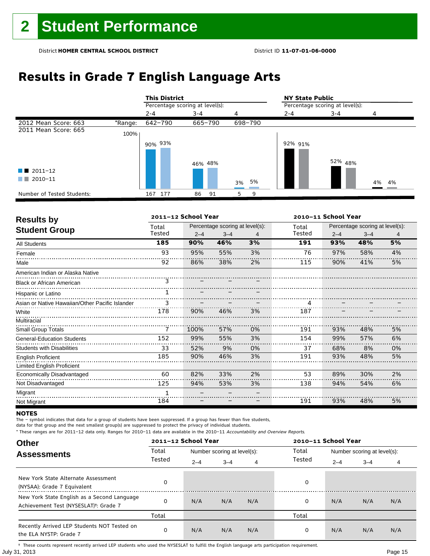# **Results in Grade 7 English Language Arts**

|                            |         | <b>This District</b>            |          |          | <b>NY State Public</b>          |         |       |  |  |
|----------------------------|---------|---------------------------------|----------|----------|---------------------------------|---------|-------|--|--|
|                            |         | Percentage scoring at level(s): |          |          | Percentage scoring at level(s): |         |       |  |  |
|                            |         | $2 - 4$                         | $3 - 4$  | 4        | $2 - 4$                         | $3 - 4$ | 4     |  |  |
| 2012 Mean Score: 663       | *Range: | 642-790                         | 665-790  | 698-790  |                                 |         |       |  |  |
| 2011 Mean Score: 665       | 100%    |                                 |          |          |                                 |         |       |  |  |
|                            |         | 90% 93%                         | 46% 48%  |          | 92% 91%                         | 52% 48% |       |  |  |
| $\blacksquare$ 2011-12     |         |                                 |          |          |                                 |         |       |  |  |
| 2010-11                    |         |                                 |          | 5%<br>3% |                                 |         | 4% 4% |  |  |
| Number of Tested Students: |         | 177<br>167                      | 86<br>91 | 9<br>5.  |                                 |         |       |  |  |

| <b>Results by</b>                               |        | 2011-12 School Year |                                 |    | 2010-11 School Year |         |                                 |    |  |
|-------------------------------------------------|--------|---------------------|---------------------------------|----|---------------------|---------|---------------------------------|----|--|
|                                                 | Total  |                     | Percentage scoring at level(s): |    | Total               |         | Percentage scoring at level(s): |    |  |
| <b>Student Group</b>                            | Tested | $2 - 4$             | $3 - 4$                         | 4  | Tested              | $2 - 4$ | $3 - 4$                         | 4  |  |
| <b>All Students</b>                             | 185    | 90%                 | 46%                             | 3% | 191                 | 93%     | 48%                             | 5% |  |
| Female                                          | 93     | 95%                 | 55%                             | 3% | 76                  | 97%     | 58%                             | 4% |  |
| Male                                            | 92     | 86%                 | 38%                             | 2% | 115                 | 90%     | 41%                             | 5% |  |
| American Indian or Alaska Native                |        |                     |                                 |    |                     |         |                                 |    |  |
| <b>Black or African American</b>                | 3      |                     |                                 |    |                     |         |                                 |    |  |
| Hispanic or Latino                              |        |                     |                                 |    |                     |         |                                 |    |  |
| Asian or Native Hawaiian/Other Pacific Islander | 3      |                     |                                 |    |                     |         |                                 |    |  |
| White                                           | 178    | 90%                 | 46%                             | 3% | 187                 |         |                                 |    |  |
| Multiracial                                     |        |                     |                                 |    |                     |         |                                 |    |  |
| Small Group Totals                              | 7      | 100%                | 57%                             | 0% | 191                 | 93%     | 48%                             | 5% |  |
| <b>General-Education Students</b>               | 152    | 99%                 | 55%                             | 3% | 154                 | 99%     | 57%                             | 6% |  |
| <b>Students with Disabilities</b>               | 33     | 52%                 | 9%                              | 0% | 37                  | 68%     | 8%                              | 0% |  |
| <b>English Proficient</b>                       | 185    | 90%                 | 46%                             | 3% | 191                 | 93%     | 48%                             | 5% |  |
| <b>Limited English Proficient</b>               |        |                     |                                 |    |                     |         |                                 |    |  |
| Economically Disadvantaged                      | 60     | 82%                 | 33%                             | 2% | 53                  | 89%     | 30%                             | 2% |  |
| Not Disadvantaged                               | 125    | 94%                 | 53%                             | 3% | 138                 | 94%     | 54%                             | 6% |  |
| Migrant                                         |        |                     |                                 |    |                     |         |                                 |    |  |
| Not Migrant                                     | 184    |                     |                                 |    | 191                 | 93%     | 48%                             | 5% |  |

### **NOTES**

The – symbol indicates that data for a group of students have been suppressed. If a group has fewer than five students,

data for that group and the next smallest group(s) are suppressed to protect the privacy of individual students.

\* These ranges are for 2011–12 data only. Ranges for 2010–11 data are available in the 2010–11 Accountability and Overview Reports.

| <b>Other</b>                                                                                      |        | 2011-12 School Year |                             |     | 2010-11 School Year |         |                             |     |
|---------------------------------------------------------------------------------------------------|--------|---------------------|-----------------------------|-----|---------------------|---------|-----------------------------|-----|
| <b>Assessments</b>                                                                                | Total  |                     | Number scoring at level(s): |     |                     |         | Number scoring at level(s): |     |
|                                                                                                   | Tested | $2 - 4$             | $3 - 4$                     | 4   | Tested              | $2 - 4$ | $3 - 4$                     | 4   |
| New York State Alternate Assessment<br>(NYSAA): Grade 7 Equivalent                                |        |                     |                             |     | 0                   |         |                             |     |
| New York State English as a Second Language<br>Achievement Test (NYSESLAT) <sup>+</sup> : Grade 7 |        | N/A                 | N/A                         | N/A | 0                   | N/A     | N/A                         | N/A |
|                                                                                                   | Total  |                     |                             |     | Total               |         |                             |     |
| Recently Arrived LEP Students NOT Tested on<br>the ELA NYSTP: Grade 7                             | 0      | N/A                 | N/A                         | N/A | 0                   | N/A     | N/A                         | N/A |

July 31, 2013 Page 15 † These counts represent recently arrived LEP students who used the NYSESLAT to fulfill the English language arts participation requirement.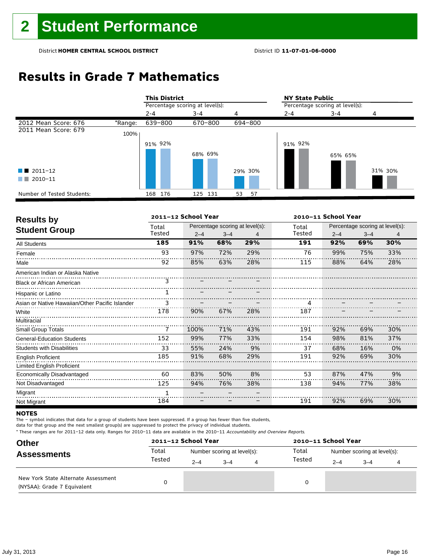## **Results in Grade 7 Mathematics**

|                            |         | <b>This District</b>            |         |          | <b>NY State Public</b>          |         |         |  |  |
|----------------------------|---------|---------------------------------|---------|----------|---------------------------------|---------|---------|--|--|
|                            |         | Percentage scoring at level(s): |         |          | Percentage scoring at level(s): |         |         |  |  |
|                            |         | $2 - 4$                         | $3 - 4$ | 4        | $2 - 4$                         | $3 - 4$ | 4       |  |  |
| 2012 Mean Score: 676       | *Range: | 639-800                         | 670-800 | 694-800  |                                 |         |         |  |  |
| 2011 Mean Score: 679       | 100%    |                                 |         |          |                                 |         |         |  |  |
|                            |         | 91% 92%                         |         |          | 91% 92%                         |         |         |  |  |
|                            |         |                                 | 68% 69% |          |                                 | 65% 65% |         |  |  |
| $\blacksquare$ 2011-12     |         |                                 |         | 29% 30%  |                                 |         | 31% 30% |  |  |
| 2010-11<br>a sa T          |         |                                 |         |          |                                 |         |         |  |  |
| Number of Tested Students: |         | 168 176                         | 125 131 | 53<br>57 |                                 |         |         |  |  |

| <b>Results by</b>                               |        | 2011-12 School Year |         |                                 | 2010-11 School Year |         |                                 |     |  |
|-------------------------------------------------|--------|---------------------|---------|---------------------------------|---------------------|---------|---------------------------------|-----|--|
|                                                 | Total  |                     |         | Percentage scoring at level(s): | Total               |         | Percentage scoring at level(s): |     |  |
| <b>Student Group</b>                            | Tested | $2 - 4$             | $3 - 4$ | 4                               | Tested              | $2 - 4$ | $3 - 4$                         | 4   |  |
| <b>All Students</b>                             | 185    | 91%                 | 68%     | 29%                             | 191                 | 92%     | 69%                             | 30% |  |
| Female                                          | 93     | 97%                 | 72%     | 29%                             | 76                  | 99%     | 75%                             | 33% |  |
| Male                                            | 92     | 85%                 | 63%     | 28%                             | 115                 | 88%     | 64%                             | 28% |  |
| American Indian or Alaska Native                |        |                     |         |                                 |                     |         |                                 |     |  |
| <b>Black or African American</b>                | 3      |                     |         |                                 |                     |         |                                 |     |  |
| Hispanic or Latino                              |        |                     |         |                                 |                     |         |                                 |     |  |
| Asian or Native Hawaiian/Other Pacific Islander | 3      |                     |         |                                 |                     |         |                                 |     |  |
| White                                           | 178    | 90%                 | 67%     | 28%                             | 187                 |         |                                 |     |  |
| Multiracial                                     |        |                     |         |                                 |                     |         |                                 |     |  |
| <b>Small Group Totals</b>                       | 7      | 100%                | 71%     | 43%                             | 191                 | 92%     | 69%                             | 30% |  |
| <b>General-Education Students</b>               | 152    | 99%                 | 77%     | 33%                             | 154                 | 98%     | 81%                             | 37% |  |
| <b>Students with Disabilities</b>               | 33     | 55%                 | 24%     | 9%                              | 37                  | 68%     | 16%                             | 0%  |  |
| <b>English Proficient</b>                       | 185    | 91%                 | 68%     | 29%                             | 191                 | 92%     | 69%                             | 30% |  |
| <b>Limited English Proficient</b>               |        |                     |         |                                 |                     |         |                                 |     |  |
| Economically Disadvantaged                      | 60     | 83%                 | 50%     | 8%                              | 53                  | 87%     | 47%                             | 9%  |  |
| Not Disadvantaged                               | 125    | 94%                 | 76%     | 38%                             | 138                 | 94%     | 77%                             | 38% |  |
| Migrant                                         | 1      |                     |         |                                 |                     |         |                                 |     |  |
| Not Migrant                                     | 184    |                     |         |                                 | 191                 | 92%     | 69%                             | 30% |  |

### **NOTES**

The – symbol indicates that data for a group of students have been suppressed. If a group has fewer than five students,

data for that group and the next smallest group(s) are suppressed to protect the privacy of individual students.

| <b>Other</b><br><b>Assessments</b>                                 |                 | 2011-12 School Year         |         |  | 2010-11 School Year |                             |         |  |  |
|--------------------------------------------------------------------|-----------------|-----------------------------|---------|--|---------------------|-----------------------------|---------|--|--|
|                                                                    | Total<br>Tested | Number scoring at level(s): |         |  | Total               | Number scoring at level(s): |         |  |  |
|                                                                    |                 | $2 - 4$                     | $3 - 4$ |  | Tested              | $2 - 4$                     | $3 - 4$ |  |  |
| New York State Alternate Assessment<br>(NYSAA): Grade 7 Equivalent |                 |                             |         |  | 0                   |                             |         |  |  |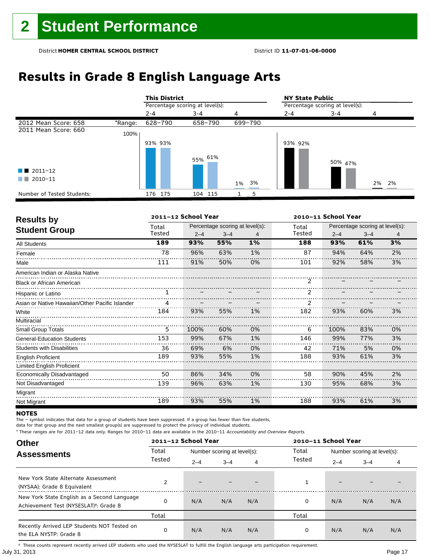# **Results in Grade 8 English Language Arts**

|                            |         | <b>This District</b>            |         |         | <b>NY State Public</b>          |         |       |  |  |
|----------------------------|---------|---------------------------------|---------|---------|---------------------------------|---------|-------|--|--|
|                            |         | Percentage scoring at level(s): |         |         | Percentage scoring at level(s): |         |       |  |  |
|                            |         | $2 - 4$                         | 3-4     | 4       | $2 - 4$                         | 3-4     | 4     |  |  |
| 2012 Mean Score: 658       | *Range: | 628-790                         | 658-790 | 699-790 |                                 |         |       |  |  |
| 2011 Mean Score: 660       | 100%    |                                 |         |         |                                 |         |       |  |  |
|                            |         | 93% 93%                         |         |         | 93% 92%                         |         |       |  |  |
|                            |         |                                 | 55% 61% |         |                                 | 50% 47% |       |  |  |
| $\blacksquare$ 2011-12     |         |                                 |         |         |                                 |         |       |  |  |
| 2010-11                    |         |                                 |         | 1% 3%   |                                 |         | 2% 2% |  |  |
| Number of Tested Students: |         | 176 175                         | 104 115 | 5       |                                 |         |       |  |  |

| <b>Results by</b>                               |        | 2011-12 School Year |                                 |       | 2010-11 School Year |      |                                                                                                                                            |    |  |  |
|-------------------------------------------------|--------|---------------------|---------------------------------|-------|---------------------|------|--------------------------------------------------------------------------------------------------------------------------------------------|----|--|--|
|                                                 | Total  |                     | Percentage scoring at level(s): |       | Total               |      | Percentage scoring at level(s):<br>$2 - 4$<br>$3 - 4$<br>4<br>3%<br>61%<br>93%<br>2%<br>94%<br>64%<br>3%<br>92%<br>58%<br>93%<br>60%<br>3% |    |  |  |
| <b>Student Group</b>                            | Tested | $2 - 4$             | $3 - 4$                         | 4     | Tested              |      |                                                                                                                                            |    |  |  |
| <b>All Students</b>                             | 189    | 93%                 | 55%                             | $1\%$ | 188                 |      |                                                                                                                                            |    |  |  |
| Female                                          | 78     | 96%                 | 63%                             | 1%    | 87                  |      |                                                                                                                                            |    |  |  |
| Male                                            | 111    | 91%                 | 50%                             | 0%    | 101                 |      |                                                                                                                                            |    |  |  |
| American Indian or Alaska Native                |        |                     |                                 |       |                     |      |                                                                                                                                            |    |  |  |
| <b>Black or African American</b>                |        |                     |                                 |       | 2                   |      |                                                                                                                                            |    |  |  |
| Hispanic or Latino                              |        |                     |                                 |       |                     |      |                                                                                                                                            |    |  |  |
| Asian or Native Hawaiian/Other Pacific Islander |        |                     |                                 |       |                     |      |                                                                                                                                            |    |  |  |
| White                                           | 184    | 93%                 | 55%                             | 1%    | 182                 |      |                                                                                                                                            |    |  |  |
| Multiracial                                     |        |                     |                                 |       |                     |      |                                                                                                                                            |    |  |  |
| <b>Small Group Totals</b>                       | 5      | 100%                | 60%                             | 0%    | 6                   | 100% | 83%                                                                                                                                        | 0% |  |  |
| <b>General-Education Students</b>               | 153    | 99%                 | 67%                             | 1%    | 146                 | 99%  | 77%                                                                                                                                        | 3% |  |  |
| <b>Students with Disabilities</b>               | 36     | 69%                 | 6%                              | 0%    | 42                  | 71%  | 5%                                                                                                                                         | 0% |  |  |
| <b>English Proficient</b>                       | 189    | 93%                 | 55%                             | 1%    | 188                 | 93%  | 61%                                                                                                                                        | 3% |  |  |
| <b>Limited English Proficient</b>               |        |                     |                                 |       |                     |      |                                                                                                                                            |    |  |  |
| Economically Disadvantaged                      | 50     | 86%                 | 34%                             | 0%    | 58                  | 90%  | 45%                                                                                                                                        | 2% |  |  |
| Not Disadvantaged                               | 139    | 96%                 | 63%                             | 1%    | 130                 | 95%  | 68%                                                                                                                                        | 3% |  |  |
| Migrant                                         |        |                     |                                 |       |                     |      |                                                                                                                                            |    |  |  |
| Not Migrant                                     | 189    | 93%                 | 55%                             | 1%    | 188                 | 93%  | 61%                                                                                                                                        | 3% |  |  |

### **NOTES**

The – symbol indicates that data for a group of students have been suppressed. If a group has fewer than five students,

data for that group and the next smallest group(s) are suppressed to protect the privacy of individual students.

\* These ranges are for 2011–12 data only. Ranges for 2010–11 data are available in the 2010–11 Accountability and Overview Reports.

| <b>Other</b>                                                                                      |        | 2011-12 School Year |                             |     | 2010-11 School Year |         |                             |     |
|---------------------------------------------------------------------------------------------------|--------|---------------------|-----------------------------|-----|---------------------|---------|-----------------------------|-----|
| <b>Assessments</b>                                                                                | Total  |                     | Number scoring at level(s): |     | Total               |         | Number scoring at level(s): |     |
|                                                                                                   | Tested | $2 - 4$             | $3 - 4$                     | 4   | Tested              | $2 - 4$ | $3 - 4$                     | 4   |
| New York State Alternate Assessment<br>(NYSAA): Grade 8 Equivalent                                |        |                     |                             |     |                     | -       |                             |     |
| New York State English as a Second Language<br>Achievement Test (NYSESLAT) <sup>†</sup> : Grade 8 |        | N/A                 | N/A                         | N/A | 0                   | N/A     | N/A                         | N/A |
|                                                                                                   | Total  |                     |                             |     | Total               |         |                             |     |
| Recently Arrived LEP Students NOT Tested on<br>the ELA NYSTP: Grade 8                             |        | N/A                 | N/A                         | N/A | 0                   | N/A     | N/A                         | N/A |

July 31, 2013 Page 17 † These counts represent recently arrived LEP students who used the NYSESLAT to fulfill the English language arts participation requirement.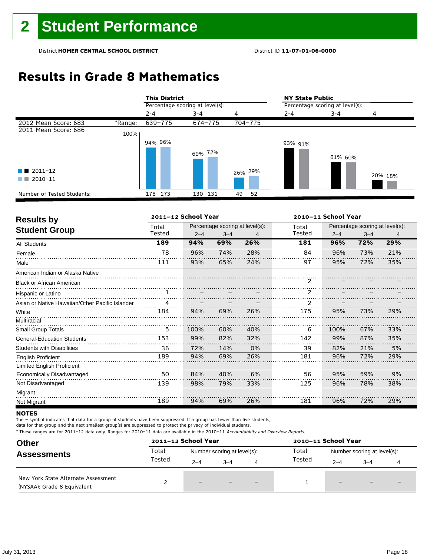## **Results in Grade 8 Mathematics**

|                            |         | <b>This District</b>            |         |          | <b>NY State Public</b>          |         |         |  |
|----------------------------|---------|---------------------------------|---------|----------|---------------------------------|---------|---------|--|
|                            |         | Percentage scoring at level(s): |         |          | Percentage scoring at level(s): |         |         |  |
|                            |         | $2 - 4$                         | $3 - 4$ | 4        | $2 - 4$                         | $3 - 4$ | 4       |  |
| 2012 Mean Score: 683       | *Range: | 639-775                         | 674-775 | 704-775  |                                 |         |         |  |
| 2011 Mean Score: 686       | 100%    |                                 |         |          |                                 |         |         |  |
|                            |         | 94% 96%                         |         |          | 93% 91%                         |         |         |  |
|                            |         |                                 | 69% 72% |          |                                 | 61% 60% |         |  |
| $\blacksquare$ 2011-12     |         |                                 |         | 26% 29%  |                                 |         |         |  |
| 2010-11<br>a sa T          |         |                                 |         |          |                                 |         | 20% 18% |  |
| Number of Tested Students: |         | 178 173                         | 130 131 | 49<br>52 |                                 |         |         |  |

| <b>Results by</b>                               |        | 2011-12 School Year |         |                                 | 2010-11 School Year |         |                                 |     |
|-------------------------------------------------|--------|---------------------|---------|---------------------------------|---------------------|---------|---------------------------------|-----|
|                                                 | Total  |                     |         | Percentage scoring at level(s): | Total               |         | Percentage scoring at level(s): |     |
| <b>Student Group</b>                            | Tested | $2 - 4$             | $3 - 4$ | 4                               | Tested              | $2 - 4$ | $3 - 4$                         | 4   |
| <b>All Students</b>                             | 189    | 94%                 | 69%     | 26%                             | 181                 | 96%     | 72%                             | 29% |
| Female                                          | 78     | 96%                 | 74%     | 28%                             | 84                  | 96%     | 73%                             | 21% |
| Male                                            | 111    | 93%                 | 65%     | 24%                             | 97                  | 95%     | 72%                             | 35% |
| American Indian or Alaska Native                |        |                     |         |                                 |                     |         |                                 |     |
| <b>Black or African American</b>                |        |                     |         |                                 | 2                   |         |                                 |     |
| Hispanic or Latino                              |        |                     |         |                                 |                     |         |                                 |     |
| Asian or Native Hawaiian/Other Pacific Islander |        |                     |         |                                 |                     |         |                                 |     |
| White                                           | 184    | 94%                 | 69%     | 26%                             | 175                 | 95%     | 73%                             | 29% |
| Multiracial                                     |        |                     |         |                                 |                     |         |                                 |     |
| <b>Small Group Totals</b>                       | 5      | 100%                | 60%     | 40%                             | 6                   | 100%    | 67%                             | 33% |
| <b>General-Education Students</b>               | 153    | 99%                 | 82%     | 32%                             | 142                 | 99%     | 87%                             | 35% |
| <b>Students with Disabilities</b>               | 36     | 72%                 | 14%     | 0%                              | 39                  | 82%     | 21%                             | 5%  |
| <b>English Proficient</b>                       | 189    | 94%                 | 69%     | 26%                             | 181                 | 96%     | 72%                             | 29% |
| Limited English Proficient                      |        |                     |         |                                 |                     |         |                                 |     |
| Economically Disadvantaged                      | 50     | 84%                 | 40%     | 6%                              | 56                  | 95%     | 59%                             | 9%  |
| Not Disadvantaged                               | 139    | 98%                 | 79%     | 33%                             | 125                 | 96%     | 78%                             | 38% |
| Migrant                                         |        |                     |         |                                 |                     |         |                                 |     |
| Not Migrant                                     | 189    | 94%                 | 69%     | 26%                             | 181                 | 96%     | 72%                             | 29% |

### **NOTES**

The – symbol indicates that data for a group of students have been suppressed. If a group has fewer than five students,

data for that group and the next smallest group(s) are suppressed to protect the privacy of individual students.

| <b>Other</b>                                                       |        | 2011-12 School Year         |         |     | 2010-11 School Year |                             |         |  |
|--------------------------------------------------------------------|--------|-----------------------------|---------|-----|---------------------|-----------------------------|---------|--|
| <b>Assessments</b>                                                 | Total  | Number scoring at level(s): |         |     | Total               | Number scoring at level(s): |         |  |
|                                                                    | Tested | $2 - 4$                     | $3 - 4$ | 4   | Tested              | $2 - 4$                     | $3 - 4$ |  |
| New York State Alternate Assessment<br>(NYSAA): Grade 8 Equivalent |        | $-$                         |         | $-$ |                     | $\qquad \qquad -$           | $-$     |  |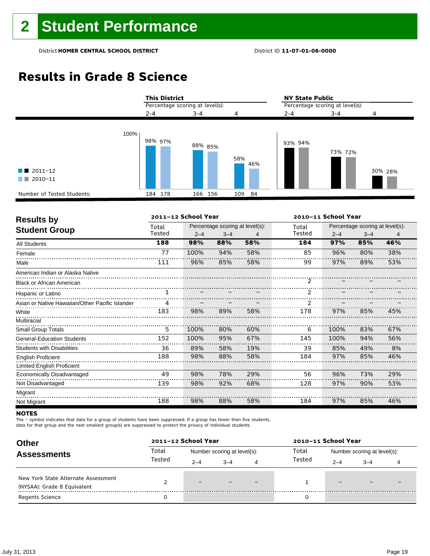# **Results in Grade 8 Science**

|                                                   | <b>This District</b> |                                 |            | <b>NY State Public</b><br>Percentage scoring at level(s): |         |         |  |
|---------------------------------------------------|----------------------|---------------------------------|------------|-----------------------------------------------------------|---------|---------|--|
|                                                   |                      | Percentage scoring at level(s): |            |                                                           |         |         |  |
|                                                   | $2 - 4$              | $3 - 4$                         | 4          | $2 - 4$                                                   | $3 - 4$ | 4       |  |
| 100%<br>$\blacksquare$ 2011-12<br>2010-11<br>a na | 98% 97%              | 88% 85%                         | 58%<br>46% | 93% 94%                                                   | 73% 72% | 30% 28% |  |
| Number of Tested Students:                        | 184 178              | 166 156                         | 109<br>84  |                                                           |         |         |  |

| <b>Results by</b>                               |        | 2011-12 School Year |         |                                 | 2010-11 School Year |         |                                 |     |  |
|-------------------------------------------------|--------|---------------------|---------|---------------------------------|---------------------|---------|---------------------------------|-----|--|
| <b>Student Group</b>                            | Total  |                     |         | Percentage scoring at level(s): | Total               |         | Percentage scoring at level(s): |     |  |
|                                                 | Tested | $2 - 4$             | $3 - 4$ | 4                               | Tested              | $2 - 4$ | $3 - 4$                         | 4   |  |
| <b>All Students</b>                             | 188    | 98%                 | 88%     | 58%                             | 184                 | 97%     | 85%                             | 46% |  |
| Female                                          | 77     | 100%                | 94%     | 58%                             | 85                  | 96%     | 80%                             | 38% |  |
| Male                                            | 111    | 96%                 | 85%     | 58%                             | 99                  | 97%     | 89%                             | 53% |  |
| American Indian or Alaska Native                |        |                     |         |                                 |                     |         |                                 |     |  |
| <b>Black or African American</b>                |        |                     |         |                                 | $\mathcal{P}$       |         |                                 |     |  |
| Hispanic or Latino                              |        |                     |         |                                 | $\mathcal{P}$       |         |                                 |     |  |
| Asian or Native Hawaiian/Other Pacific Islander | 4      |                     |         |                                 |                     |         |                                 |     |  |
| White                                           | 183    | 98%                 | 89%     | 58%                             | 178                 | 97%     | 85%                             | 45% |  |
| Multiracial                                     |        |                     |         |                                 |                     |         |                                 |     |  |
| Small Group Totals                              | 5      | 100%                | 80%     | 60%                             | 6                   | 100%    | 83%                             | 67% |  |
| <b>General-Education Students</b>               | 152    | 100%                | 95%     | 67%                             | 145                 | 100%    | 94%                             | 56% |  |
| <b>Students with Disabilities</b>               | 36     | 89%                 | 58%     | 19%                             | 39                  | 85%     | 49%                             | 8%  |  |
| <b>English Proficient</b>                       | 188    | 98%                 | 88%     | 58%                             | 184                 | 97%     | 85%                             | 46% |  |
| Limited English Proficient                      |        |                     |         |                                 |                     |         |                                 |     |  |
| <b>Economically Disadvantaged</b>               | 49     | 98%                 | 78%     | 29%                             | 56                  | 96%     | 73%                             | 29% |  |
| Not Disadvantaged                               | 139    | 98%                 | 92%     | 68%                             | 128                 | 97%     | 90%                             | 53% |  |
| Migrant                                         |        |                     |         |                                 |                     |         |                                 |     |  |
| Not Migrant                                     | 188    | 98%                 | 88%     | 58%                             | 184                 | 97%     | 85%                             | 46% |  |

### **NOTES**

The – symbol indicates that data for a group of students have been suppressed. If a group has fewer than five students,

data for that group and the next smallest group(s) are suppressed to protect the privacy of individual students.

| <b>Other</b>                                                       |        | 2011-12 School Year |                             |   | 2010-11 School Year |                             |         |  |  |
|--------------------------------------------------------------------|--------|---------------------|-----------------------------|---|---------------------|-----------------------------|---------|--|--|
| <b>Assessments</b>                                                 | Total  |                     | Number scoring at level(s): |   | Total               | Number scoring at level(s): |         |  |  |
|                                                                    | Tested | $2 - 4$             | $3 - 4$                     | 4 | Tested              | $2 - 4$                     | $3 - 4$ |  |  |
| New York State Alternate Assessment<br>(NYSAA): Grade 8 Equivalent |        |                     |                             |   |                     | $\qquad \qquad -$           |         |  |  |
| <b>Regents Science</b>                                             |        |                     |                             |   |                     |                             |         |  |  |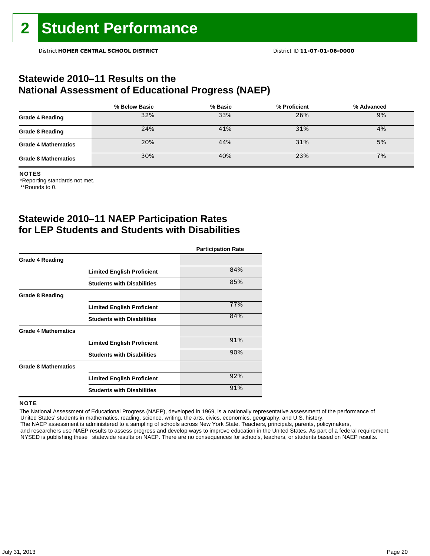### **Statewide 2010–11 Results on the National Assessment of Educational Progress (NAEP)**

|                            | % Below Basic | % Basic | % Proficient | % Advanced |
|----------------------------|---------------|---------|--------------|------------|
| <b>Grade 4 Reading</b>     | 32%           | 33%     | 26%          | 9%         |
| <b>Grade 8 Reading</b>     | 24%           | 41%     | 31%          | 4%         |
| <b>Grade 4 Mathematics</b> | 20%           | 44%     | 31%          | 5%         |
| <b>Grade 8 Mathematics</b> | 30%           | 40%     | 23%          | 7%         |

#### NOTES

\*Reporting standards not met.

\*\*Rounds to 0.

## **Statewide 2010–11 NAEP Participation Rates for LEP Students and Students with Disabilities**

|                            |                                   | <b>Participation Rate</b> |
|----------------------------|-----------------------------------|---------------------------|
| <b>Grade 4 Reading</b>     |                                   |                           |
|                            | <b>Limited English Proficient</b> | 84%                       |
|                            | <b>Students with Disabilities</b> | 85%                       |
| <b>Grade 8 Reading</b>     |                                   |                           |
|                            | <b>Limited English Proficient</b> | 77%                       |
|                            | <b>Students with Disabilities</b> | 84%                       |
| <b>Grade 4 Mathematics</b> |                                   |                           |
|                            | <b>Limited English Proficient</b> | 91%                       |
|                            | <b>Students with Disabilities</b> | 90%                       |
| <b>Grade 8 Mathematics</b> |                                   |                           |
|                            | <b>Limited English Proficient</b> | 92%                       |
|                            | <b>Students with Disabilities</b> | 91%                       |

### **NOTE**

 The National Assessment of Educational Progress (NAEP), developed in 1969, is a nationally representative assessment of the performance of United States' students in mathematics, reading, science, writing, the arts, civics, economics, geography, and U.S. history. The NAEP assessment is administered to a sampling of schools across New York State. Teachers, principals, parents, policymakers,

 and researchers use NAEP results to assess progress and develop ways to improve education in the United States. As part of a federal requirement, NYSED is publishing these statewide results on NAEP. There are no consequences for schools, teachers, or students based on NAEP results.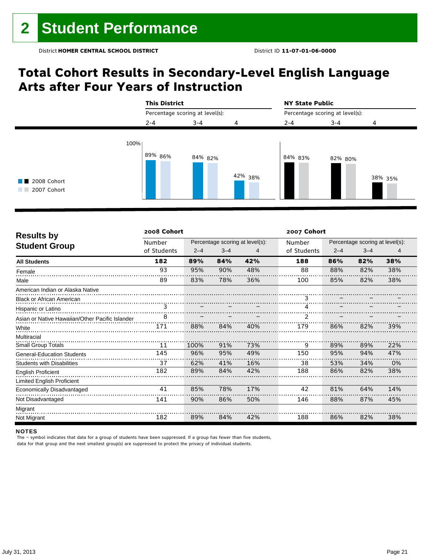## **Total Cohort Results in Secondary-Level English Language Arts after Four Years of Instruction**



| <b>Results by</b>                               | 2008 Cohort<br>2007 Cohort |         |         |                                 |             |         |                                 |     |  |
|-------------------------------------------------|----------------------------|---------|---------|---------------------------------|-------------|---------|---------------------------------|-----|--|
|                                                 | Number                     |         |         | Percentage scoring at level(s): | Number      |         | Percentage scoring at level(s): |     |  |
| <b>Student Group</b>                            | of Students                | $2 - 4$ | $3 - 4$ | 4                               | of Students | $2 - 4$ | $3 - 4$                         | 4   |  |
| <b>All Students</b>                             | 182                        | 89%     | 84%     | 42%                             | 188         | 86%     | 82%                             | 38% |  |
| Female                                          | 93                         | 95%     | 90%     | 48%                             | 88          | 88%     | 82%                             | 38% |  |
| Male                                            | 89                         | 83%     | 78%     | 36%                             | 100         | 85%     | 82%                             | 38% |  |
| American Indian or Alaska Native                |                            |         |         |                                 |             |         |                                 |     |  |
| <b>Black or African American</b>                |                            |         |         |                                 |             |         |                                 |     |  |
| Hispanic or Latino                              | 3                          |         |         |                                 | 4           |         |                                 |     |  |
| Asian or Native Hawaiian/Other Pacific Islander | 8                          |         |         |                                 | 2           |         |                                 |     |  |
| White                                           | 171                        | 88%     | 84%     | 40%                             | 179         | 86%     | 82%                             | 39% |  |
| Multiracial                                     |                            |         |         |                                 |             |         |                                 |     |  |
| <b>Small Group Totals</b>                       | 11                         | 100%    | 91%     | 73%                             | 9           | 89%     | 89%                             | 22% |  |
| <b>General-Education Students</b>               | 145                        | 96%     | 95%     | 49%                             | 150         | 95%     | 94%                             | 47% |  |
| <b>Students with Disabilities</b>               | 37                         | 62%     | 41%     | 16%                             | 38          | 53%     | 34%                             | 0%  |  |
| <b>English Proficient</b>                       | 182                        | 89%     | 84%     | 42%                             | 188         | 86%     | 82%                             | 38% |  |
| <b>Limited English Proficient</b>               |                            |         |         |                                 |             |         |                                 |     |  |
| Economically Disadvantaged                      | 41                         | 85%     | 78%     | 17%                             | 42          | 81%     | 64%                             | 14% |  |
| Not Disadvantaged                               | 141                        | 90%     | 86%     | 50%                             | 146         | 88%     | 87%                             | 45% |  |
| Migrant                                         |                            |         |         |                                 |             |         |                                 |     |  |
| Not Migrant                                     | 182                        | 89%     | 84%     | 42%                             | 188         | 86%     | 82%                             | 38% |  |

#### NOTES

The – symbol indicates that data for a group of students have been suppressed. If a group has fewer than five students, data for that group and the next smallest group(s) are suppressed to protect the privacy of individual students.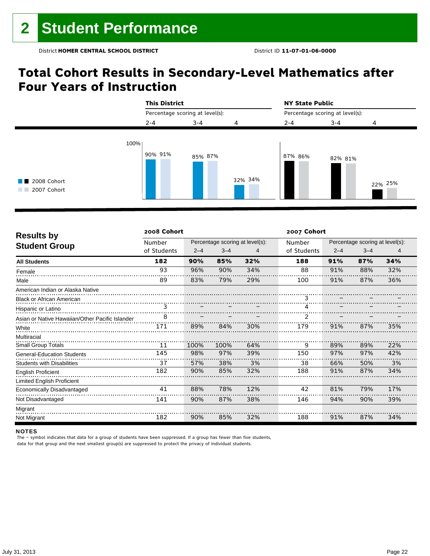## **Total Cohort Results in Secondary-Level Mathematics after Four Years of Instruction**



| <b>Results by</b>                               | 2008 Cohort |         |         |                                 | 2007 Cohort |         |                                 |     |
|-------------------------------------------------|-------------|---------|---------|---------------------------------|-------------|---------|---------------------------------|-----|
|                                                 | Number      |         |         | Percentage scoring at level(s): | Number      |         | Percentage scoring at level(s): |     |
| <b>Student Group</b>                            | of Students | $2 - 4$ | $3 - 4$ | 4                               | of Students | $2 - 4$ | $3 - 4$                         | 4   |
| <b>All Students</b>                             | 182         | 90%     | 85%     | 32%                             | 188         | 91%     | 87%                             | 34% |
| Female                                          | 93          | 96%     | 90%     | 34%                             | 88          | 91%     | 88%                             | 32% |
| Male                                            | 89          | 83%     | 79%     | 29%                             | 100         | 91%     | 87%                             | 36% |
| American Indian or Alaska Native                |             |         |         |                                 |             |         |                                 |     |
| <b>Black or African American</b>                |             |         |         |                                 |             |         |                                 |     |
| Hispanic or Latino                              | 3           |         |         |                                 |             |         |                                 |     |
| Asian or Native Hawaiian/Other Pacific Islander | 8           |         |         |                                 | 2           |         |                                 |     |
| White                                           | 171         | 89%     | 84%     | 30%                             | 179         | 91%     | 87%                             | 35% |
| Multiracial                                     |             |         |         |                                 |             |         |                                 |     |
| <b>Small Group Totals</b>                       | 11          | 100%    | 100%    | 64%                             | 9           | 89%     | 89%                             | 22% |
| <b>General-Education Students</b>               | 145         | 98%     | 97%     | 39%                             | 150         | 97%     | 97%                             | 42% |
| <b>Students with Disabilities</b>               | 37          | 57%     | 38%     | 3%                              | 38          | 66%     | 50%                             | 3%  |
| <b>English Proficient</b>                       | 182         | 90%     | 85%     | 32%                             | 188         | 91%     | 87%                             | 34% |
| <b>Limited English Proficient</b>               |             |         |         |                                 |             |         |                                 |     |
| Economically Disadvantaged                      | 41          | 88%     | 78%     | 12%                             | 42          | 81%     | 79%                             | 17% |
| Not Disadvantaged                               | 141         | 90%     | 87%     | 38%                             | 146         | 94%     | 90%                             | 39% |
| Migrant                                         |             |         |         |                                 |             |         |                                 |     |
| Not Migrant                                     | 182         | 90%     | 85%     | 32%                             | 188         | 91%     | 87%                             | 34% |

### NOTES

The – symbol indicates that data for a group of students have been suppressed. If a group has fewer than five students, data for that group and the next smallest group(s) are suppressed to protect the privacy of individual students.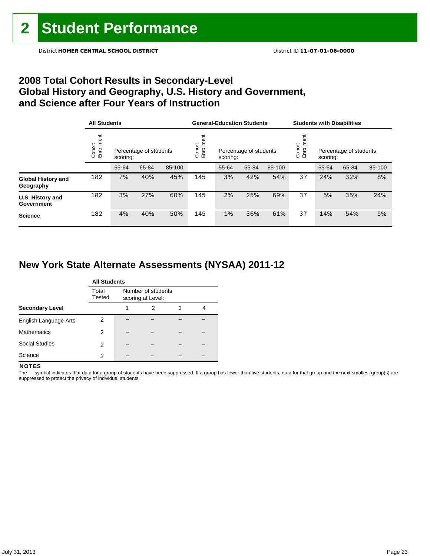## **2008 Total Cohort Results in Secondary-Level Global History and Geography, U.S. History and Government, and Science after Four Years of Instruction**

|                                        | <b>All Students</b>  |          |                        |        |                    | <b>General-Education Students</b> |                                    |        | <b>Students with Disabilities</b> |                                    |       |        |
|----------------------------------------|----------------------|----------|------------------------|--------|--------------------|-----------------------------------|------------------------------------|--------|-----------------------------------|------------------------------------|-------|--------|
|                                        | Cohort<br>Enrollment | scoring: | Percentage of students |        | Enrollme<br>Cohort |                                   | Percentage of students<br>scoring: |        |                                   | Percentage of students<br>scoring: |       |        |
|                                        |                      | 55-64    | 65-84                  | 85-100 |                    | 55-64                             | 65-84                              | 85-100 |                                   | 55-64                              | 65-84 | 85-100 |
| <b>Global History and</b><br>Geography | 182                  | 7%       | 40%                    | 45%    | 145                | 3%                                | 42%                                | 54%    | 37                                | 24%                                | 32%   | 8%     |
| U.S. History and<br>Government         | 182                  | 3%       | 27%                    | 60%    | 145                | 2%                                | 25%                                | 69%    | 37                                | 5%                                 | 35%   | 24%    |
| <b>Science</b>                         | 182                  | 4%       | 40%                    | 50%    | 145                | 1%                                | 36%                                | 61%    | 37                                | 14%                                | 54%   | 5%     |

## **New York State Alternate Assessments (NYSAA) 2011-12**

|                        | <b>All Students</b> |   |                                         |   |   |  |  |  |  |  |
|------------------------|---------------------|---|-----------------------------------------|---|---|--|--|--|--|--|
|                        | Total<br>Tested     |   | Number of students<br>scoring at Level: |   |   |  |  |  |  |  |
| <b>Secondary Level</b> |                     | 1 | 2                                       | 3 | 4 |  |  |  |  |  |
| English Language Arts  | 2                   |   |                                         |   |   |  |  |  |  |  |
| <b>Mathematics</b>     | 2                   |   |                                         |   |   |  |  |  |  |  |
| <b>Social Studies</b>  | 2                   |   |                                         |   |   |  |  |  |  |  |
| Science                | 2                   |   |                                         |   |   |  |  |  |  |  |

### **NOTES**

The - symbol indicates that data for a group of students have been suppressed. If a group has fewer than five students, data for that group and the next smallest group(s) are suppressed to protect the privacy of individual students.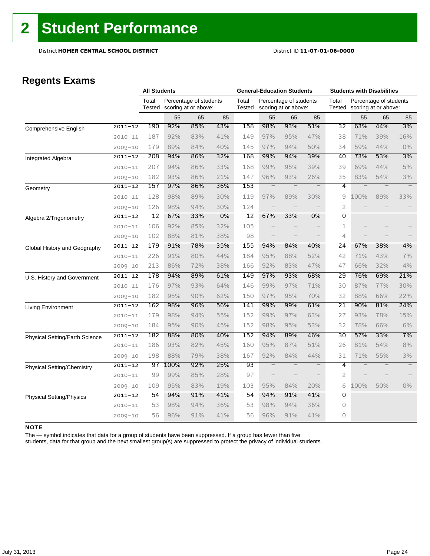## **Regents Exams**

|                                   |             | <b>All Students</b> |      |                                                |     | <b>General-Education Students</b> |                          |                                                |                          | <b>Students with Disabilities</b> |      |                                                |                          |
|-----------------------------------|-------------|---------------------|------|------------------------------------------------|-----|-----------------------------------|--------------------------|------------------------------------------------|--------------------------|-----------------------------------|------|------------------------------------------------|--------------------------|
|                                   |             | Total<br>Tested     |      | Percentage of students<br>scoring at or above: |     | Total<br>Tested                   |                          | Percentage of students<br>scoring at or above: |                          | Total<br>Tested                   |      | Percentage of students<br>scoring at or above: |                          |
|                                   |             |                     | 55   | 65                                             | 85  |                                   | 55                       | 65                                             | 85                       |                                   | 55   | 65                                             | 85                       |
| <b>Comprehensive English</b>      | $2011 - 12$ | 190                 | 92%  | 85%                                            | 43% | 158                               | 98%                      | 93%                                            | 51%                      | 32                                | 63%  | 44%                                            | 3%                       |
|                                   | $2010 - 11$ | 187                 | 92%  | 83%                                            | 41% | 149                               | 97%                      | 95%                                            | 47%                      | 38                                | 71%  | 39%                                            | 16%                      |
|                                   | $2009 - 10$ | 179                 | 89%  | 84%                                            | 40% | 145                               | 97%                      | 94%                                            | 50%                      | 34                                | 59%  | 44%                                            | $0\%$                    |
| Integrated Algebra                | $2011 - 12$ | 208                 | 94%  | 86%                                            | 32% | 168                               | 99%                      | 94%                                            | 39%                      | 40                                | 73%  | 53%                                            | 3%                       |
|                                   | $2010 - 11$ | 207                 | 94%  | 86%                                            | 33% | 168                               | 99%                      | 95%                                            | 39%                      | 39                                | 69%  | 44%                                            | 5%                       |
|                                   | $2009 - 10$ | 182                 | 93%  | 86%                                            | 21% | 147                               | 96%                      | 93%                                            | 26%                      | 35                                | 83%  | 54%                                            | 3%                       |
| Geometry                          | $2011 - 12$ | 157                 | 97%  | 86%                                            | 36% | 153                               | $\overline{\phantom{0}}$ | $\qquad \qquad -$                              | $\overline{\phantom{m}}$ | 4                                 | Ξ    | $\overline{\phantom{0}}$                       | $\overline{\phantom{m}}$ |
|                                   | $2010 - 11$ | 128                 | 98%  | 89%                                            | 30% | 119                               | 97%                      | 89%                                            | 30%                      | 9                                 | 100% | 89%                                            | 33%                      |
|                                   | $2009 - 10$ | 126                 | 98%  | 94%                                            | 30% | 124                               | $\overline{\phantom{0}}$ |                                                |                          | $\overline{2}$                    |      |                                                |                          |
| Algebra 2/Trigonometry            | $2011 - 12$ | 12                  | 67%  | 33%                                            | 0%  | $\overline{12}$                   | 67%                      | 33%                                            | 0%                       | $\overline{0}$                    |      |                                                |                          |
|                                   | $2010 - 11$ | 106                 | 92%  | 85%                                            | 32% | 105                               |                          |                                                |                          | 1                                 |      |                                                |                          |
|                                   | $2009 - 10$ | 102                 | 88%  | 81%                                            | 38% | 98                                |                          |                                                |                          | 4                                 |      |                                                |                          |
| Global History and Geography      | $2011 - 12$ | 179                 | 91%  | 78%                                            | 35% | 155                               | 94%                      | 84%                                            | 40%                      | 24                                | 67%  | 38%                                            | 4%                       |
|                                   | $2010 - 11$ | 226                 | 91%  | 80%                                            | 44% | 184                               | 95%                      | 88%                                            | 52%                      | 42                                | 71%  | 43%                                            | 7%                       |
|                                   | $2009 - 10$ | 213                 | 86%  | 72%                                            | 38% | 166                               | 92%                      | 83%                                            | 47%                      | 47                                | 66%  | 32%                                            | 4%                       |
| U.S. History and Government       | $2011 - 12$ | 178                 | 94%  | 89%                                            | 61% | 149                               | 97%                      | 93%                                            | 68%                      | 29                                | 76%  | 69%                                            | 21%                      |
|                                   | $2010 - 11$ | 176                 | 97%  | 93%                                            | 64% | 146                               | 99%                      | 97%                                            | 71%                      | 30                                | 87%  | 77%                                            | 30%                      |
|                                   | $2009 - 10$ | 182                 | 95%  | 90%                                            | 62% | 150                               | 97%                      | 95%                                            | 70%                      | 32                                | 88%  | 66%                                            | 22%                      |
| Living Environment                | $2011 - 12$ | 162                 | 98%  | 96%                                            | 56% | 141                               | 99%                      | 99%                                            | 61%                      | 21                                | 90%  | 81%                                            | 24%                      |
|                                   | $2010 - 11$ | 179                 | 98%  | 94%                                            | 55% | 152                               | 99%                      | 97%                                            | 63%                      | 27                                | 93%  | 78%                                            | 15%                      |
|                                   | $2009 - 10$ | 184                 | 95%  | 90%                                            | 45% | 152                               | 98%                      | 95%                                            | 53%                      | 32                                | 78%  | 66%                                            | 6%                       |
| Physical Setting/Earth Science    | $2011 - 12$ | 182                 | 88%  | 80%                                            | 40% | 152                               | 94%                      | 89%                                            | 46%                      | $\overline{30}$                   | 57%  | 33%                                            | 7%                       |
|                                   | $2010 - 11$ | 186                 | 93%  | 82%                                            | 45% | 160                               | 95%                      | 87%                                            | 51%                      | 26                                | 81%  | 54%                                            | 8%                       |
|                                   | $2009 - 10$ | 198                 | 88%  | 79%                                            | 38% | 167                               | 92%                      | 84%                                            | 44%                      | 31                                | 71%  | 55%                                            | 3%                       |
| <b>Physical Setting/Chemistry</b> | $2011 - 12$ | 97                  | 100% | 92%                                            | 25% | 93                                | $\overline{\phantom{m}}$ |                                                | $\qquad \qquad -$        | 4                                 |      |                                                |                          |
|                                   | $2010 - 11$ | 99                  | 99%  | 85%                                            | 28% | 97                                |                          |                                                |                          | $\overline{2}$                    |      |                                                |                          |
|                                   | $2009 - 10$ | 109                 | 95%  | 83%                                            | 19% | 103                               | 95%                      | 84%                                            | 20%                      | 6                                 | 100% | 50%                                            | $0\%$                    |
| <b>Physical Setting/Physics</b>   | $2011 - 12$ | 54                  | 94%  | 91%                                            | 41% | 54                                | 94%                      | 91%                                            | 41%                      | Ō                                 |      |                                                |                          |
|                                   | $2010 - 11$ | 53                  | 98%  | 94%                                            | 36% | 53                                | 98%                      | 94%                                            | 36%                      | 0                                 |      |                                                |                          |
|                                   | $2009 - 10$ | 56                  | 96%  | 91%                                            | 41% | 56                                | 96%                      | 91%                                            | 41%                      | 0                                 |      |                                                |                          |

### NOTE

The — symbol indicates that data for a group of students have been suppressed. If a group has fewer than five

students, data for that group and the next smallest group(s) are suppressed to protect the privacy of individual students.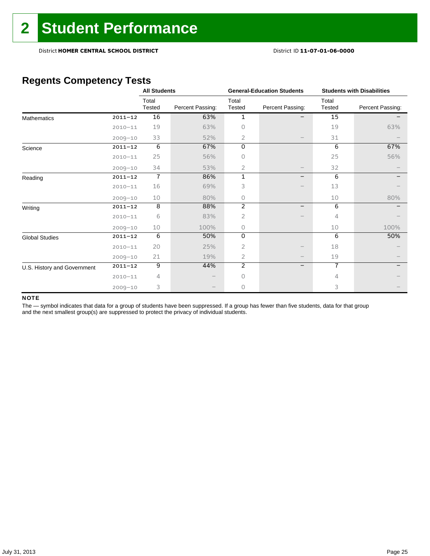## **Regents Competency Tests**

|                             |             | <b>All Students</b> |                  |                 | <b>General-Education Students</b> | <b>Students with Disabilities</b> |                  |  |
|-----------------------------|-------------|---------------------|------------------|-----------------|-----------------------------------|-----------------------------------|------------------|--|
|                             |             | Total<br>Tested     | Percent Passing: | Total<br>Tested | Percent Passing:                  | Total<br>Tested                   | Percent Passing: |  |
| <b>Mathematics</b>          | $2011 - 12$ | 16                  | 63%              | 1               |                                   | 15                                |                  |  |
|                             | $2010 - 11$ | 19                  | 63%              | 0               |                                   | 19                                | 63%              |  |
|                             | $2009 - 10$ | 33                  | 52%              | 2               |                                   | 31                                |                  |  |
| Science                     | $2011 - 12$ | 6                   | 67%              | 0               |                                   | 6                                 | 67%              |  |
|                             | $2010 - 11$ | 25                  | 56%              | Ω               |                                   | 25                                | 56%              |  |
|                             | $2009 - 10$ | 34                  | 53%              | 2               |                                   | 32                                |                  |  |
| Reading                     | $2011 - 12$ | $\overline{1}$      | 86%              | 1               | -                                 | 6                                 |                  |  |
|                             | $2010 - 11$ | 16                  | 69%              | 3               |                                   | 13                                |                  |  |
|                             | $2009 - 10$ | 10                  | 80%              | 0               |                                   | 10                                | 80%              |  |
| Writing                     | $2011 - 12$ | 8                   | 88%              | $\overline{2}$  | $\overline{\phantom{0}}$          | 6                                 |                  |  |
|                             | $2010 - 11$ | 6                   | 83%              | 2               |                                   | 4                                 |                  |  |
|                             | $2009 - 10$ | 10                  | 100%             | 0               |                                   | 10                                | 100%             |  |
| <b>Global Studies</b>       | $2011 - 12$ | 6                   | 50%              | 0               |                                   | 6                                 | 50%              |  |
|                             | $2010 - 11$ | 20                  | 25%              | 2               |                                   | 18                                |                  |  |
|                             | $2009 - 10$ | 21                  | 19%              | 2               |                                   | 19                                |                  |  |
| U.S. History and Government | $2011 - 12$ | 9                   | 44%              | $\overline{2}$  | -                                 | $\overline{7}$                    |                  |  |
|                             | $2010 - 11$ | 4                   |                  | 0               |                                   | 4                                 |                  |  |
|                             | $2009 - 10$ | 3                   |                  | 0               |                                   | 3                                 |                  |  |

### NOTE

The - symbol indicates that data for a group of students have been suppressed. If a group has fewer than five students, data for that group and the next smallest group(s) are suppressed to protect the privacy of individual students.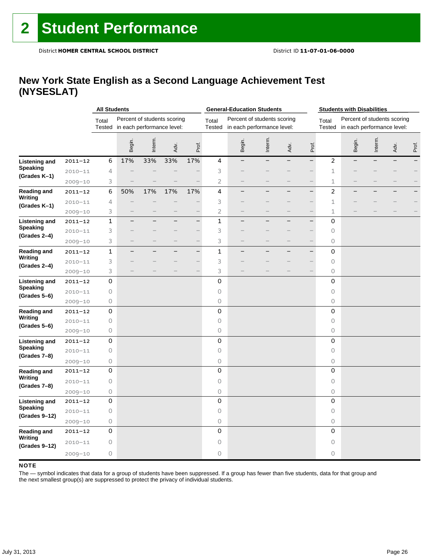### **New York State English as a Second Language Achievement Test (NYSESLAT)**

|                                 |             | <b>All Students</b> |                                   |                             |      |                          |                 | <b>General-Education Students</b>                         |                          |                          |                          |                     | <b>Students with Disabilities</b>                         |         |      |       |
|---------------------------------|-------------|---------------------|-----------------------------------|-----------------------------|------|--------------------------|-----------------|-----------------------------------------------------------|--------------------------|--------------------------|--------------------------|---------------------|-----------------------------------------------------------|---------|------|-------|
|                                 |             | Total               | Tested in each performance level: | Percent of students scoring |      |                          | Total<br>Tested | Percent of students scoring<br>in each performance level: |                          |                          |                          | Total<br>Tested     | Percent of students scoring<br>in each performance level: |         |      |       |
|                                 |             |                     | Begin.                            | Interm.                     | Adv. | Prof.                    |                 | Begin.                                                    | Interm.                  | Adv.                     | Prof.                    |                     | Begin.                                                    | Interm. | Adv. | Prof. |
| <b>Listening and</b>            | $2011 - 12$ | 6                   | 17%                               | 33%                         | 33%  | 17%                      | 4               |                                                           | $\overline{\phantom{0}}$ | $\overline{\phantom{0}}$ | $\qquad \qquad -$        | $\overline{c}$      |                                                           |         |      |       |
| Speaking                        | $2010 - 11$ | 4                   |                                   |                             |      |                          | 3               |                                                           |                          |                          |                          | $\mathbf{1}$        |                                                           |         |      |       |
| (Grades K-1)                    | $2009 - 10$ | 3                   |                                   |                             |      |                          | $\overline{2}$  |                                                           |                          |                          |                          | $\mathbf{1}$        |                                                           |         |      |       |
| Reading and                     | $2011 - 12$ | 6                   | 50%                               | 17%                         | 17%  | 17%                      | 4               |                                                           |                          |                          | $\overline{\phantom{0}}$ | $\overline{c}$      |                                                           |         |      |       |
| Writing                         | $2010 - 11$ | 4                   |                                   |                             |      |                          | 3               |                                                           |                          |                          |                          | 1                   |                                                           |         |      |       |
| (Grades K-1)                    | $2009 - 10$ | 3                   |                                   |                             |      |                          | $\overline{c}$  |                                                           |                          |                          |                          | 1                   |                                                           |         |      |       |
| Listening and                   | $2011 - 12$ | $\mathbf 1$         | ▃                                 |                             |      | <u>.</u>                 | 1               |                                                           |                          |                          | $\overline{\phantom{0}}$ | 0                   |                                                           |         |      |       |
| <b>Speaking</b>                 | $2010 - 11$ | 3                   |                                   |                             |      |                          | 3               |                                                           |                          |                          |                          | 0                   |                                                           |         |      |       |
| (Grades 2-4)                    | $2009 - 10$ | 3                   |                                   |                             |      | -                        | 3               |                                                           |                          |                          | $\overline{\phantom{a}}$ | 0                   |                                                           |         |      |       |
| <b>Reading and</b>              | $2011 - 12$ | $\mathbf 1$         |                                   |                             |      | $\overline{\phantom{0}}$ | 1               |                                                           |                          |                          | $\qquad \qquad -$        | 0                   |                                                           |         |      |       |
| Writing<br>(Grades 2-4)         | $2010 - 11$ | 3                   |                                   |                             |      |                          | 3               |                                                           |                          |                          |                          | $\circ$             |                                                           |         |      |       |
|                                 | $2009 - 10$ | 3                   |                                   |                             |      |                          | 3               |                                                           |                          |                          |                          | 0                   |                                                           |         |      |       |
| Listening and                   | $2011 - 12$ | 0                   |                                   |                             |      |                          | 0               |                                                           |                          |                          |                          | 0                   |                                                           |         |      |       |
| <b>Speaking</b><br>(Grades 5–6) | $2010 - 11$ | $\mathsf O$         |                                   |                             |      |                          | 0               |                                                           |                          |                          |                          | 0                   |                                                           |         |      |       |
|                                 | $2009 - 10$ | 0                   |                                   |                             |      |                          | 0               |                                                           |                          |                          |                          | 0                   |                                                           |         |      |       |
| <b>Reading and</b>              | $2011 - 12$ | 0                   |                                   |                             |      |                          | $\mathsf 0$     |                                                           |                          |                          |                          | 0                   |                                                           |         |      |       |
| Writing                         | $2010 - 11$ | 0                   |                                   |                             |      |                          | 0               |                                                           |                          |                          |                          | 0                   |                                                           |         |      |       |
| (Grades 5–6)                    | $2009 - 10$ | 0                   |                                   |                             |      |                          | 0               |                                                           |                          |                          |                          | 0                   |                                                           |         |      |       |
| <b>Listening and</b>            | $2011 - 12$ | 0                   |                                   |                             |      |                          | $\mathbf 0$     |                                                           |                          |                          |                          | $\mathsf{O}\xspace$ |                                                           |         |      |       |
| Speaking<br>(Grades 7-8)        | $2010 - 11$ | 0                   |                                   |                             |      |                          | $\circ$         |                                                           |                          |                          |                          | 0                   |                                                           |         |      |       |
|                                 | $2009 - 10$ | 0                   |                                   |                             |      |                          | 0               |                                                           |                          |                          |                          | 0                   |                                                           |         |      |       |
| <b>Reading and</b>              | $2011 - 12$ | 0                   |                                   |                             |      |                          | 0               |                                                           |                          |                          |                          | 0                   |                                                           |         |      |       |
| Writing<br>(Grades 7-8)         | $2010 - 11$ | 0                   |                                   |                             |      |                          | 0               |                                                           |                          |                          |                          | 0                   |                                                           |         |      |       |
|                                 | 2009-10     | 0                   |                                   |                             |      |                          | 0               |                                                           |                          |                          |                          | 0                   |                                                           |         |      |       |
| <b>Listening and</b>            | $2011 - 12$ | 0                   |                                   |                             |      |                          | 0               |                                                           |                          |                          |                          | 0                   |                                                           |         |      |       |
| <b>Speaking</b>                 | $2010 - 11$ | $\bigcirc$          |                                   |                             |      |                          | 0               |                                                           |                          |                          |                          | $\circ$             |                                                           |         |      |       |
| (Grades 9-12)                   | $2009 - 10$ | 0                   |                                   |                             |      |                          | 0               |                                                           |                          |                          |                          | 0                   |                                                           |         |      |       |
| Reading and                     | 2011-12     | 0                   |                                   |                             |      |                          | 0               |                                                           |                          |                          |                          | 0                   |                                                           |         |      |       |
| Writing<br>(Grades 9-12)        | $2010 - 11$ | 0                   |                                   |                             |      |                          | 0               |                                                           |                          |                          |                          | 0                   |                                                           |         |      |       |
|                                 | $2009 - 10$ | 0                   |                                   |                             |      |                          | 0               |                                                           |                          |                          |                          | 0                   |                                                           |         |      |       |

### **NOTE**

The — symbol indicates that data for a group of students have been suppressed. If a group has fewer than five students, data for that group and the next smallest group(s) are suppressed to protect the privacy of individual students.